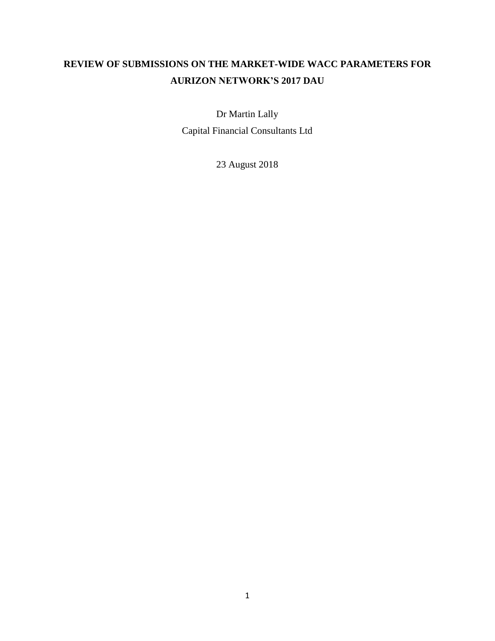# **REVIEW OF SUBMISSIONS ON THE MARKET-WIDE WACC PARAMETERS FOR AURIZON NETWORK'S 2017 DAU**

Dr Martin Lally

Capital Financial Consultants Ltd

23 August 2018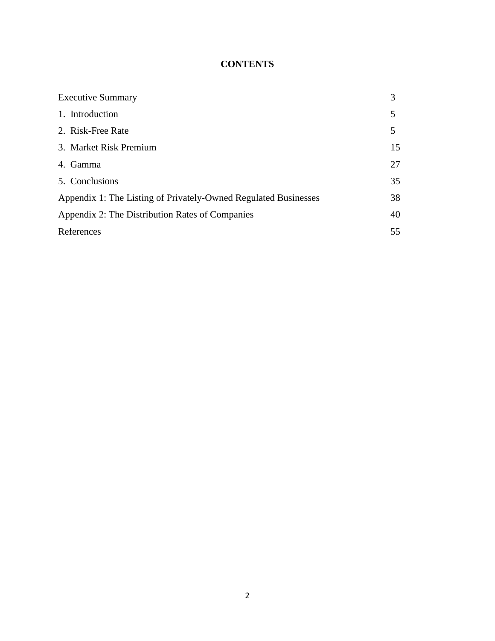## **CONTENTS**

| <b>Executive Summary</b>                                        | 3  |
|-----------------------------------------------------------------|----|
| 1. Introduction                                                 | 5  |
| 2. Risk-Free Rate                                               | 5  |
| 3. Market Risk Premium                                          | 15 |
| 4. Gamma                                                        | 27 |
| 5. Conclusions                                                  | 35 |
| Appendix 1: The Listing of Privately-Owned Regulated Businesses | 38 |
| Appendix 2: The Distribution Rates of Companies                 | 40 |
| References                                                      | 55 |
|                                                                 |    |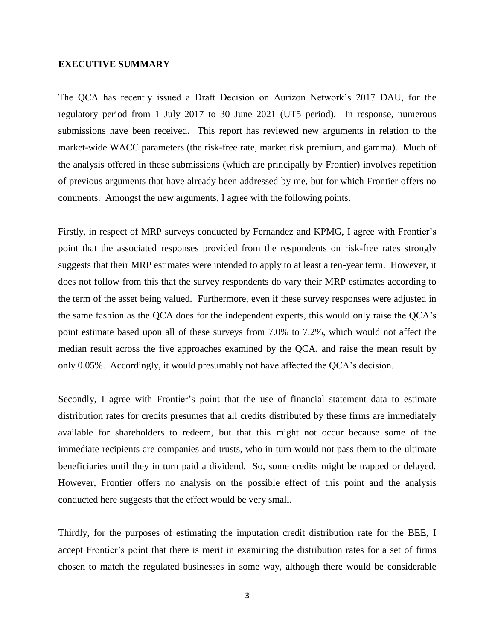#### **EXECUTIVE SUMMARY**

The QCA has recently issued a Draft Decision on Aurizon Network's 2017 DAU, for the regulatory period from 1 July 2017 to 30 June 2021 (UT5 period). In response, numerous submissions have been received. This report has reviewed new arguments in relation to the market-wide WACC parameters (the risk-free rate, market risk premium, and gamma). Much of the analysis offered in these submissions (which are principally by Frontier) involves repetition of previous arguments that have already been addressed by me, but for which Frontier offers no comments. Amongst the new arguments, I agree with the following points.

Firstly, in respect of MRP surveys conducted by Fernandez and KPMG, I agree with Frontier's point that the associated responses provided from the respondents on risk-free rates strongly suggests that their MRP estimates were intended to apply to at least a ten-year term. However, it does not follow from this that the survey respondents do vary their MRP estimates according to the term of the asset being valued. Furthermore, even if these survey responses were adjusted in the same fashion as the QCA does for the independent experts, this would only raise the QCA's point estimate based upon all of these surveys from 7.0% to 7.2%, which would not affect the median result across the five approaches examined by the QCA, and raise the mean result by only 0.05%. Accordingly, it would presumably not have affected the QCA's decision.

Secondly, I agree with Frontier's point that the use of financial statement data to estimate distribution rates for credits presumes that all credits distributed by these firms are immediately available for shareholders to redeem, but that this might not occur because some of the immediate recipients are companies and trusts, who in turn would not pass them to the ultimate beneficiaries until they in turn paid a dividend. So, some credits might be trapped or delayed. However, Frontier offers no analysis on the possible effect of this point and the analysis conducted here suggests that the effect would be very small.

Thirdly, for the purposes of estimating the imputation credit distribution rate for the BEE, I accept Frontier's point that there is merit in examining the distribution rates for a set of firms chosen to match the regulated businesses in some way, although there would be considerable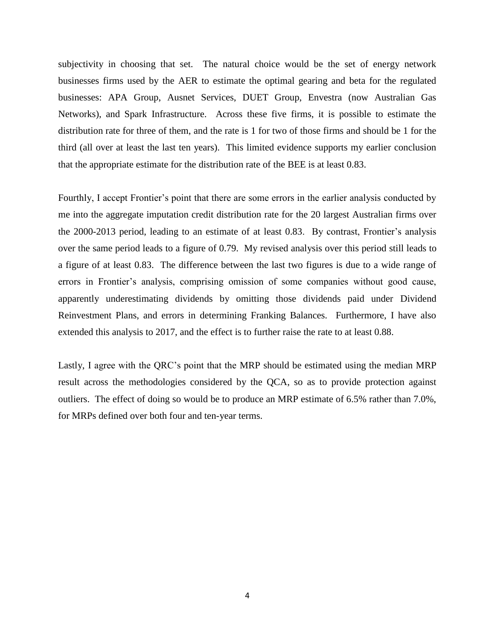subjectivity in choosing that set. The natural choice would be the set of energy network businesses firms used by the AER to estimate the optimal gearing and beta for the regulated businesses: APA Group, Ausnet Services, DUET Group, Envestra (now Australian Gas Networks), and Spark Infrastructure. Across these five firms, it is possible to estimate the distribution rate for three of them, and the rate is 1 for two of those firms and should be 1 for the third (all over at least the last ten years). This limited evidence supports my earlier conclusion that the appropriate estimate for the distribution rate of the BEE is at least 0.83.

Fourthly, I accept Frontier's point that there are some errors in the earlier analysis conducted by me into the aggregate imputation credit distribution rate for the 20 largest Australian firms over the 2000-2013 period, leading to an estimate of at least 0.83. By contrast, Frontier's analysis over the same period leads to a figure of 0.79. My revised analysis over this period still leads to a figure of at least 0.83. The difference between the last two figures is due to a wide range of errors in Frontier's analysis, comprising omission of some companies without good cause, apparently underestimating dividends by omitting those dividends paid under Dividend Reinvestment Plans, and errors in determining Franking Balances. Furthermore, I have also extended this analysis to 2017, and the effect is to further raise the rate to at least 0.88.

Lastly, I agree with the QRC's point that the MRP should be estimated using the median MRP result across the methodologies considered by the QCA, so as to provide protection against outliers. The effect of doing so would be to produce an MRP estimate of 6.5% rather than 7.0%, for MRPs defined over both four and ten-year terms.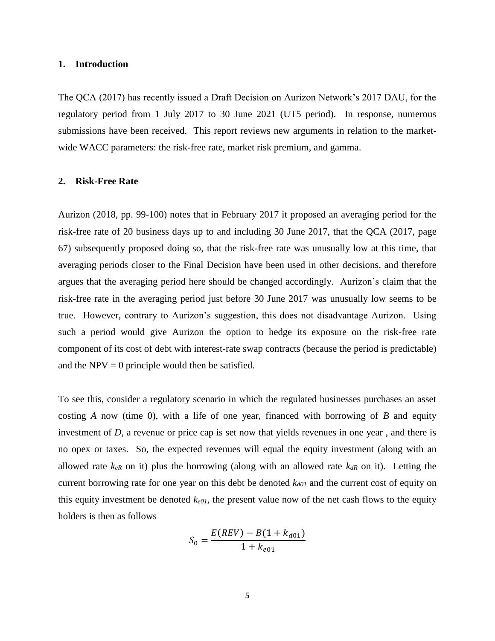#### **1. Introduction**

The QCA (2017) has recently issued a Draft Decision on Aurizon Network's 2017 DAU, for the regulatory period from 1 July 2017 to 30 June 2021 (UT5 period). In response, numerous submissions have been received. This report reviews new arguments in relation to the marketwide WACC parameters: the risk-free rate, market risk premium, and gamma.

#### **2. Risk-Free Rate**

Aurizon (2018, pp. 99-100) notes that in February 2017 it proposed an averaging period for the risk-free rate of 20 business days up to and including 30 June 2017, that the QCA (2017, page 67) subsequently proposed doing so, that the risk-free rate was unusually low at this time, that averaging periods closer to the Final Decision have been used in other decisions, and therefore argues that the averaging period here should be changed accordingly. Aurizon's claim that the risk-free rate in the averaging period just before 30 June 2017 was unusually low seems to be true. However, contrary to Aurizon's suggestion, this does not disadvantage Aurizon. Using such a period would give Aurizon the option to hedge its exposure on the risk-free rate component of its cost of debt with interest-rate swap contracts (because the period is predictable) and the  $NPV = 0$  principle would then be satisfied.

To see this, consider a regulatory scenario in which the regulated businesses purchases an asset costing *A* now (time 0), with a life of one year, financed with borrowing of *B* and equity investment of *D*, a revenue or price cap is set now that yields revenues in one year , and there is no opex or taxes. So, the expected revenues will equal the equity investment (along with an allowed rate  $k_{eR}$  on it) plus the borrowing (along with an allowed rate  $k_{dR}$  on it). Letting the current borrowing rate for one year on this debt be denoted *kd01* and the current cost of equity on this equity investment be denoted  $k_{e01}$ , the present value now of the net cash flows to the equity holders is then as follows

$$
S_0 = \frac{E(REV) - B(1 + k_{d01})}{1 + k_{e01}}
$$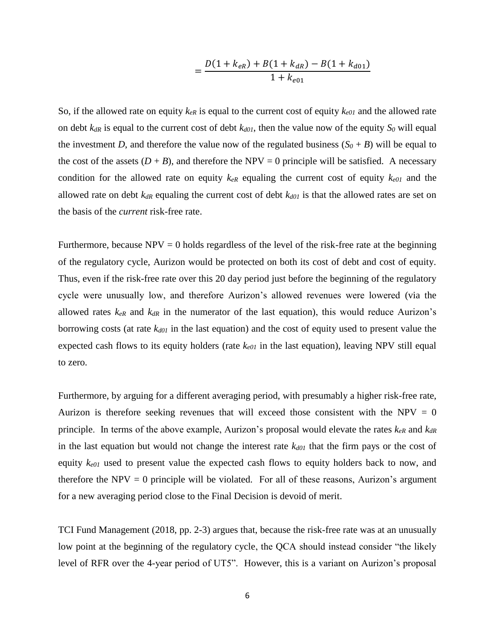$$
=\frac{D(1+k_{eR})+B(1+k_{dR})-B(1+k_{d01})}{1+k_{e01}}
$$

So, if the allowed rate on equity  $k_{eR}$  is equal to the current cost of equity  $k_{e01}$  and the allowed rate on debt  $k_{dR}$  is equal to the current cost of debt  $k_{d01}$ , then the value now of the equity  $S_0$  will equal the investment *D*, and therefore the value now of the regulated business  $(S_0 + B)$  will be equal to the cost of the assets  $(D + B)$ , and therefore the NPV = 0 principle will be satisfied. A necessary condition for the allowed rate on equity  $k_{eR}$  equaling the current cost of equity  $k_{e01}$  and the allowed rate on debt  $k_{dR}$  equaling the current cost of debt  $k_{d01}$  is that the allowed rates are set on the basis of the *current* risk-free rate.

Furthermore, because  $NPV = 0$  holds regardless of the level of the risk-free rate at the beginning of the regulatory cycle, Aurizon would be protected on both its cost of debt and cost of equity. Thus, even if the risk-free rate over this 20 day period just before the beginning of the regulatory cycle were unusually low, and therefore Aurizon's allowed revenues were lowered (via the allowed rates  $k_{eR}$  and  $k_{dR}$  in the numerator of the last equation), this would reduce Aurizon's borrowing costs (at rate *kd01* in the last equation) and the cost of equity used to present value the expected cash flows to its equity holders (rate *ke01* in the last equation), leaving NPV still equal to zero.

Furthermore, by arguing for a different averaging period, with presumably a higher risk-free rate, Aurizon is therefore seeking revenues that will exceed those consistent with the NPV  $= 0$ principle. In terms of the above example, Aurizon's proposal would elevate the rates *keR* and *kdR* in the last equation but would not change the interest rate  $k_{d01}$  that the firm pays or the cost of equity *ke01* used to present value the expected cash flows to equity holders back to now, and therefore the  $NPV = 0$  principle will be violated. For all of these reasons, Aurizon's argument for a new averaging period close to the Final Decision is devoid of merit.

TCI Fund Management (2018, pp. 2-3) argues that, because the risk-free rate was at an unusually low point at the beginning of the regulatory cycle, the QCA should instead consider "the likely level of RFR over the 4-year period of UT5". However, this is a variant on Aurizon's proposal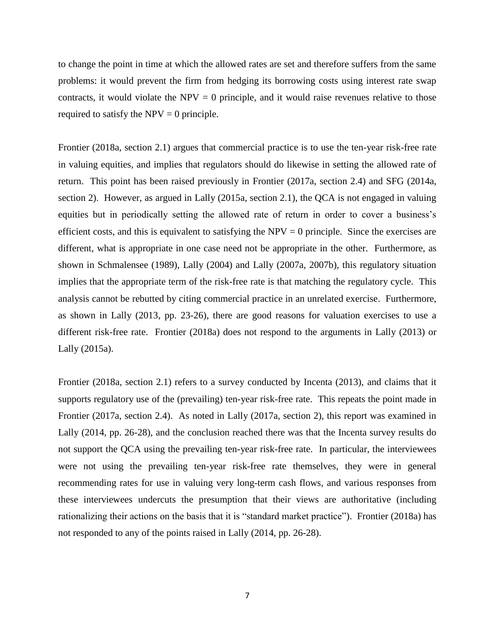to change the point in time at which the allowed rates are set and therefore suffers from the same problems: it would prevent the firm from hedging its borrowing costs using interest rate swap contracts, it would violate the  $NPV = 0$  principle, and it would raise revenues relative to those required to satisfy the  $NPV = 0$  principle.

Frontier (2018a, section 2.1) argues that commercial practice is to use the ten-year risk-free rate in valuing equities, and implies that regulators should do likewise in setting the allowed rate of return. This point has been raised previously in Frontier (2017a, section 2.4) and SFG (2014a, section 2). However, as argued in Lally (2015a, section 2.1), the QCA is not engaged in valuing equities but in periodically setting the allowed rate of return in order to cover a business's efficient costs, and this is equivalent to satisfying the  $NPV = 0$  principle. Since the exercises are different, what is appropriate in one case need not be appropriate in the other. Furthermore, as shown in Schmalensee (1989), Lally (2004) and Lally (2007a, 2007b), this regulatory situation implies that the appropriate term of the risk-free rate is that matching the regulatory cycle. This analysis cannot be rebutted by citing commercial practice in an unrelated exercise. Furthermore, as shown in Lally (2013, pp. 23-26), there are good reasons for valuation exercises to use a different risk-free rate. Frontier (2018a) does not respond to the arguments in Lally (2013) or Lally (2015a).

Frontier (2018a, section 2.1) refers to a survey conducted by Incenta (2013), and claims that it supports regulatory use of the (prevailing) ten-year risk-free rate. This repeats the point made in Frontier (2017a, section 2.4). As noted in Lally (2017a, section 2), this report was examined in Lally (2014, pp. 26-28), and the conclusion reached there was that the Incenta survey results do not support the QCA using the prevailing ten-year risk-free rate. In particular, the interviewees were not using the prevailing ten-year risk-free rate themselves, they were in general recommending rates for use in valuing very long-term cash flows, and various responses from these interviewees undercuts the presumption that their views are authoritative (including rationalizing their actions on the basis that it is "standard market practice"). Frontier (2018a) has not responded to any of the points raised in Lally (2014, pp. 26-28).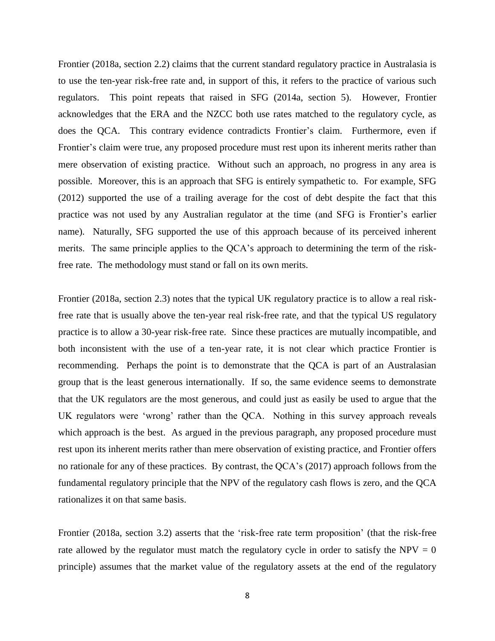Frontier (2018a, section 2.2) claims that the current standard regulatory practice in Australasia is to use the ten-year risk-free rate and, in support of this, it refers to the practice of various such regulators. This point repeats that raised in SFG (2014a, section 5). However, Frontier acknowledges that the ERA and the NZCC both use rates matched to the regulatory cycle, as does the QCA. This contrary evidence contradicts Frontier's claim. Furthermore, even if Frontier's claim were true, any proposed procedure must rest upon its inherent merits rather than mere observation of existing practice. Without such an approach, no progress in any area is possible. Moreover, this is an approach that SFG is entirely sympathetic to. For example, SFG (2012) supported the use of a trailing average for the cost of debt despite the fact that this practice was not used by any Australian regulator at the time (and SFG is Frontier's earlier name). Naturally, SFG supported the use of this approach because of its perceived inherent merits. The same principle applies to the QCA's approach to determining the term of the riskfree rate. The methodology must stand or fall on its own merits.

Frontier (2018a, section 2.3) notes that the typical UK regulatory practice is to allow a real riskfree rate that is usually above the ten-year real risk-free rate, and that the typical US regulatory practice is to allow a 30-year risk-free rate. Since these practices are mutually incompatible, and both inconsistent with the use of a ten-year rate, it is not clear which practice Frontier is recommending. Perhaps the point is to demonstrate that the QCA is part of an Australasian group that is the least generous internationally. If so, the same evidence seems to demonstrate that the UK regulators are the most generous, and could just as easily be used to argue that the UK regulators were 'wrong' rather than the QCA. Nothing in this survey approach reveals which approach is the best. As argued in the previous paragraph, any proposed procedure must rest upon its inherent merits rather than mere observation of existing practice, and Frontier offers no rationale for any of these practices. By contrast, the QCA's (2017) approach follows from the fundamental regulatory principle that the NPV of the regulatory cash flows is zero, and the QCA rationalizes it on that same basis.

Frontier (2018a, section 3.2) asserts that the 'risk-free rate term proposition' (that the risk-free rate allowed by the regulator must match the regulatory cycle in order to satisfy the  $NPV = 0$ principle) assumes that the market value of the regulatory assets at the end of the regulatory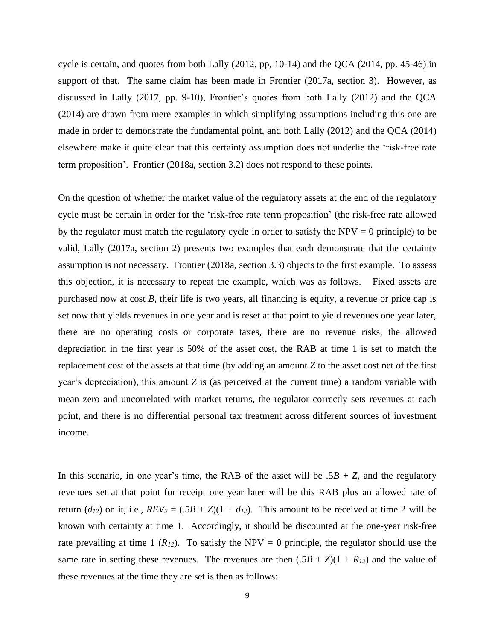cycle is certain, and quotes from both Lally  $(2012, pp, 10-14)$  and the QCA  $(2014, pp. 45-46)$  in support of that. The same claim has been made in Frontier (2017a, section 3). However, as discussed in Lally (2017, pp. 9-10), Frontier's quotes from both Lally (2012) and the QCA (2014) are drawn from mere examples in which simplifying assumptions including this one are made in order to demonstrate the fundamental point, and both Lally (2012) and the QCA (2014) elsewhere make it quite clear that this certainty assumption does not underlie the 'risk-free rate term proposition'. Frontier (2018a, section 3.2) does not respond to these points.

On the question of whether the market value of the regulatory assets at the end of the regulatory cycle must be certain in order for the 'risk-free rate term proposition' (the risk-free rate allowed by the regulator must match the regulatory cycle in order to satisfy the  $NPV = 0$  principle) to be valid, Lally (2017a, section 2) presents two examples that each demonstrate that the certainty assumption is not necessary. Frontier (2018a, section 3.3) objects to the first example. To assess this objection, it is necessary to repeat the example, which was as follows. Fixed assets are purchased now at cost *B*, their life is two years, all financing is equity, a revenue or price cap is set now that yields revenues in one year and is reset at that point to yield revenues one year later, there are no operating costs or corporate taxes, there are no revenue risks, the allowed depreciation in the first year is 50% of the asset cost, the RAB at time 1 is set to match the replacement cost of the assets at that time (by adding an amount *Z* to the asset cost net of the first year's depreciation), this amount *Z* is (as perceived at the current time) a random variable with mean zero and uncorrelated with market returns, the regulator correctly sets revenues at each point, and there is no differential personal tax treatment across different sources of investment income.

In this scenario, in one year's time, the RAB of the asset will be  $.5B + Z$ , and the regulatory revenues set at that point for receipt one year later will be this RAB plus an allowed rate of return ( $d_{12}$ ) on it, i.e.,  $REV_2 = (.5B + Z)(1 + d_{12})$ . This amount to be received at time 2 will be known with certainty at time 1. Accordingly, it should be discounted at the one-year risk-free rate prevailing at time 1  $(R_{12})$ . To satisfy the NPV = 0 principle, the regulator should use the same rate in setting these revenues. The revenues are then  $(.5B + Z)(1 + R<sub>12</sub>)$  and the value of these revenues at the time they are set is then as follows: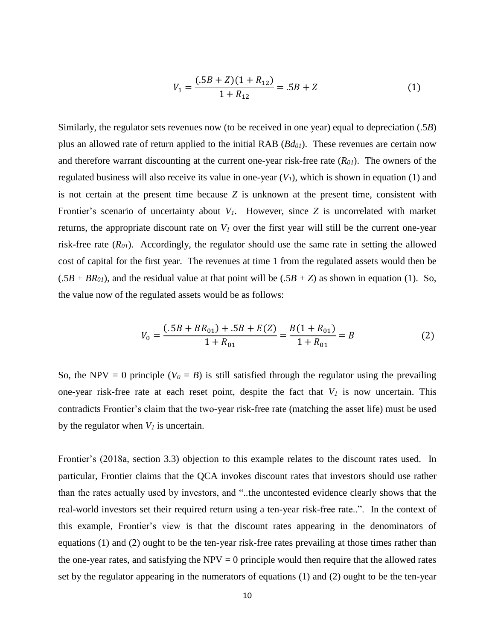$$
V_1 = \frac{(.5B + Z)(1 + R_{12})}{1 + R_{12}} = .5B + Z
$$
 (1)

Similarly, the regulator sets revenues now (to be received in one year) equal to depreciation (.5*B*) plus an allowed rate of return applied to the initial RAB (*Bd01*). These revenues are certain now and therefore warrant discounting at the current one-year risk-free rate (*R01*). The owners of the regulated business will also receive its value in one-year  $(V<sub>I</sub>)$ , which is shown in equation (1) and is not certain at the present time because *Z* is unknown at the present time, consistent with Frontier's scenario of uncertainty about *V1*. However, since *Z* is uncorrelated with market returns, the appropriate discount rate on  $V_I$  over the first year will still be the current one-year risk-free rate (*R01*). Accordingly, the regulator should use the same rate in setting the allowed cost of capital for the first year. The revenues at time 1 from the regulated assets would then be  $(.5B + BR<sub>01</sub>)$ , and the residual value at that point will be  $(.5B + Z)$  as shown in equation (1). So, the value now of the regulated assets would be as follows:

$$
V_0 = \frac{(.5B + BR_{01}) + .5B + E(Z)}{1 + R_{01}} = \frac{B(1 + R_{01})}{1 + R_{01}} = B
$$
 (2)

So, the NPV = 0 principle ( $V_0 = B$ ) is still satisfied through the regulator using the prevailing one-year risk-free rate at each reset point, despite the fact that  $V_I$  is now uncertain. This contradicts Frontier's claim that the two-year risk-free rate (matching the asset life) must be used by the regulator when  $V_I$  is uncertain.

Frontier's (2018a, section 3.3) objection to this example relates to the discount rates used. In particular, Frontier claims that the QCA invokes discount rates that investors should use rather than the rates actually used by investors, and "..the uncontested evidence clearly shows that the real-world investors set their required return using a ten-year risk-free rate..". In the context of this example, Frontier's view is that the discount rates appearing in the denominators of equations (1) and (2) ought to be the ten-year risk-free rates prevailing at those times rather than the one-year rates, and satisfying the  $NPV = 0$  principle would then require that the allowed rates set by the regulator appearing in the numerators of equations (1) and (2) ought to be the ten-year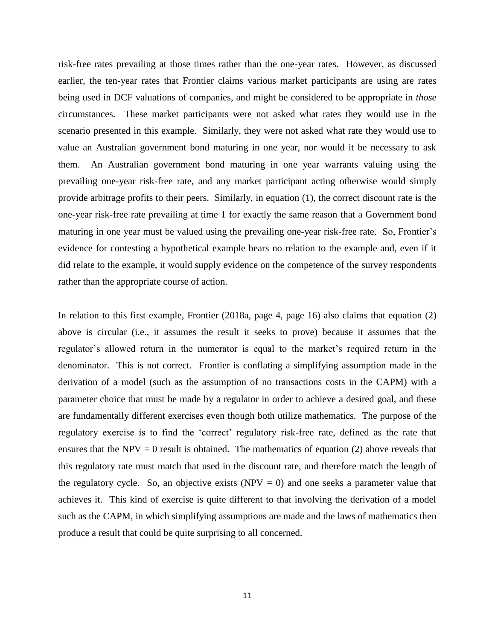risk-free rates prevailing at those times rather than the one-year rates. However, as discussed earlier, the ten-year rates that Frontier claims various market participants are using are rates being used in DCF valuations of companies, and might be considered to be appropriate in *those* circumstances. These market participants were not asked what rates they would use in the scenario presented in this example. Similarly, they were not asked what rate they would use to value an Australian government bond maturing in one year, nor would it be necessary to ask them. An Australian government bond maturing in one year warrants valuing using the prevailing one-year risk-free rate, and any market participant acting otherwise would simply provide arbitrage profits to their peers. Similarly, in equation (1), the correct discount rate is the one-year risk-free rate prevailing at time 1 for exactly the same reason that a Government bond maturing in one year must be valued using the prevailing one-year risk-free rate. So, Frontier's evidence for contesting a hypothetical example bears no relation to the example and, even if it did relate to the example, it would supply evidence on the competence of the survey respondents rather than the appropriate course of action.

In relation to this first example, Frontier (2018a, page 4, page 16) also claims that equation (2) above is circular (i.e., it assumes the result it seeks to prove) because it assumes that the regulator's allowed return in the numerator is equal to the market's required return in the denominator. This is not correct. Frontier is conflating a simplifying assumption made in the derivation of a model (such as the assumption of no transactions costs in the CAPM) with a parameter choice that must be made by a regulator in order to achieve a desired goal, and these are fundamentally different exercises even though both utilize mathematics. The purpose of the regulatory exercise is to find the 'correct' regulatory risk-free rate, defined as the rate that ensures that the NPV = 0 result is obtained. The mathematics of equation (2) above reveals that this regulatory rate must match that used in the discount rate, and therefore match the length of the regulatory cycle. So, an objective exists  $(NPV = 0)$  and one seeks a parameter value that achieves it. This kind of exercise is quite different to that involving the derivation of a model such as the CAPM, in which simplifying assumptions are made and the laws of mathematics then produce a result that could be quite surprising to all concerned.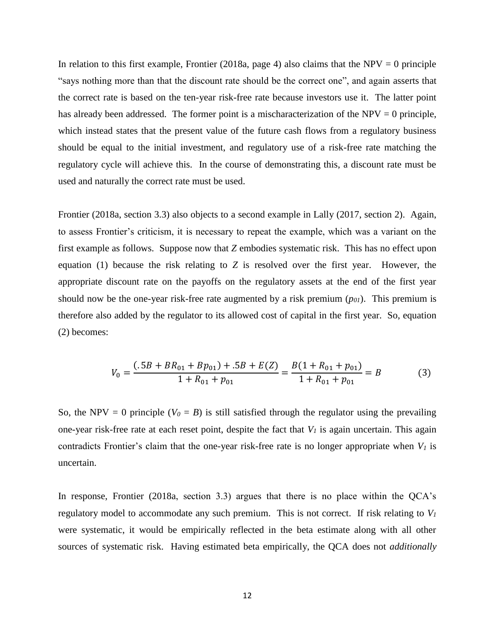In relation to this first example, Frontier (2018a, page 4) also claims that the NPV = 0 principle "says nothing more than that the discount rate should be the correct one", and again asserts that the correct rate is based on the ten-year risk-free rate because investors use it. The latter point has already been addressed. The former point is a mischaracterization of the  $NPV = 0$  principle, which instead states that the present value of the future cash flows from a regulatory business should be equal to the initial investment, and regulatory use of a risk-free rate matching the regulatory cycle will achieve this. In the course of demonstrating this, a discount rate must be used and naturally the correct rate must be used.

Frontier (2018a, section 3.3) also objects to a second example in Lally (2017, section 2). Again, to assess Frontier's criticism, it is necessary to repeat the example, which was a variant on the first example as follows. Suppose now that *Z* embodies systematic risk. This has no effect upon equation (1) because the risk relating to *Z* is resolved over the first year. However, the appropriate discount rate on the payoffs on the regulatory assets at the end of the first year should now be the one-year risk-free rate augmented by a risk premium (*p01*). This premium is therefore also added by the regulator to its allowed cost of capital in the first year. So, equation (2) becomes:

$$
V_0 = \frac{(.5B + BR_{01} + Bp_{01}) + .5B + E(Z)}{1 + R_{01} + p_{01}} = \frac{B(1 + R_{01} + p_{01})}{1 + R_{01} + p_{01}} = B
$$
(3)

So, the NPV = 0 principle ( $V_0 = B$ ) is still satisfied through the regulator using the prevailing one-year risk-free rate at each reset point, despite the fact that *V<sup>1</sup>* is again uncertain. This again contradicts Frontier's claim that the one-year risk-free rate is no longer appropriate when *V<sup>1</sup>* is uncertain.

In response, Frontier (2018a, section 3.3) argues that there is no place within the QCA's regulatory model to accommodate any such premium. This is not correct. If risk relating to  $V_I$ were systematic, it would be empirically reflected in the beta estimate along with all other sources of systematic risk. Having estimated beta empirically, the QCA does not *additionally*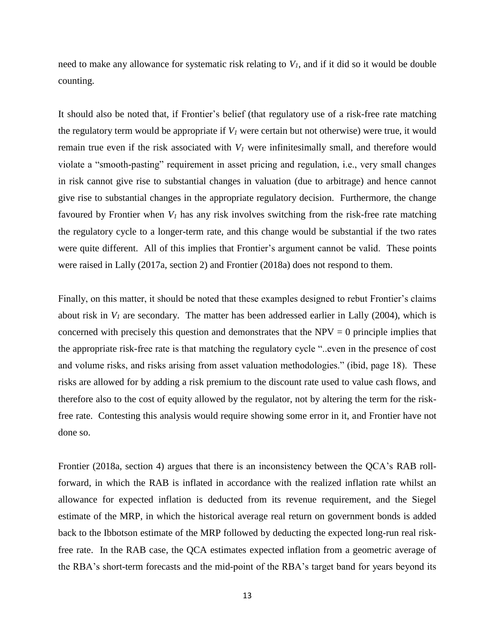need to make any allowance for systematic risk relating to *V1*, and if it did so it would be double counting.

It should also be noted that, if Frontier's belief (that regulatory use of a risk-free rate matching the regulatory term would be appropriate if  $V_I$  were certain but not otherwise) were true, it would remain true even if the risk associated with  $V_I$  were infinitesimally small, and therefore would violate a "smooth-pasting" requirement in asset pricing and regulation, i.e., very small changes in risk cannot give rise to substantial changes in valuation (due to arbitrage) and hence cannot give rise to substantial changes in the appropriate regulatory decision. Furthermore, the change favoured by Frontier when *V<sup>1</sup>* has any risk involves switching from the risk-free rate matching the regulatory cycle to a longer-term rate, and this change would be substantial if the two rates were quite different. All of this implies that Frontier's argument cannot be valid. These points were raised in Lally (2017a, section 2) and Frontier (2018a) does not respond to them.

Finally, on this matter, it should be noted that these examples designed to rebut Frontier's claims about risk in  $V_I$  are secondary. The matter has been addressed earlier in Lally (2004), which is concerned with precisely this question and demonstrates that the  $NPV = 0$  principle implies that the appropriate risk-free rate is that matching the regulatory cycle "..even in the presence of cost and volume risks, and risks arising from asset valuation methodologies." (ibid, page 18). These risks are allowed for by adding a risk premium to the discount rate used to value cash flows, and therefore also to the cost of equity allowed by the regulator, not by altering the term for the riskfree rate. Contesting this analysis would require showing some error in it, and Frontier have not done so.

Frontier (2018a, section 4) argues that there is an inconsistency between the QCA's RAB rollforward, in which the RAB is inflated in accordance with the realized inflation rate whilst an allowance for expected inflation is deducted from its revenue requirement, and the Siegel estimate of the MRP, in which the historical average real return on government bonds is added back to the Ibbotson estimate of the MRP followed by deducting the expected long-run real riskfree rate. In the RAB case, the QCA estimates expected inflation from a geometric average of the RBA's short-term forecasts and the mid-point of the RBA's target band for years beyond its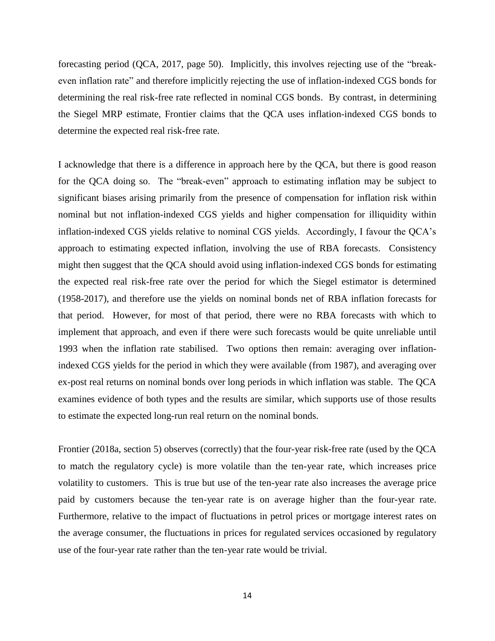forecasting period (QCA, 2017, page 50). Implicitly, this involves rejecting use of the "breakeven inflation rate" and therefore implicitly rejecting the use of inflation-indexed CGS bonds for determining the real risk-free rate reflected in nominal CGS bonds. By contrast, in determining the Siegel MRP estimate, Frontier claims that the QCA uses inflation-indexed CGS bonds to determine the expected real risk-free rate.

I acknowledge that there is a difference in approach here by the QCA, but there is good reason for the QCA doing so. The "break-even" approach to estimating inflation may be subject to significant biases arising primarily from the presence of compensation for inflation risk within nominal but not inflation-indexed CGS yields and higher compensation for illiquidity within inflation-indexed CGS yields relative to nominal CGS yields. Accordingly, I favour the QCA's approach to estimating expected inflation, involving the use of RBA forecasts. Consistency might then suggest that the QCA should avoid using inflation-indexed CGS bonds for estimating the expected real risk-free rate over the period for which the Siegel estimator is determined (1958-2017), and therefore use the yields on nominal bonds net of RBA inflation forecasts for that period. However, for most of that period, there were no RBA forecasts with which to implement that approach, and even if there were such forecasts would be quite unreliable until 1993 when the inflation rate stabilised. Two options then remain: averaging over inflationindexed CGS yields for the period in which they were available (from 1987), and averaging over ex-post real returns on nominal bonds over long periods in which inflation was stable. The QCA examines evidence of both types and the results are similar, which supports use of those results to estimate the expected long-run real return on the nominal bonds.

Frontier (2018a, section 5) observes (correctly) that the four-year risk-free rate (used by the QCA to match the regulatory cycle) is more volatile than the ten-year rate, which increases price volatility to customers. This is true but use of the ten-year rate also increases the average price paid by customers because the ten-year rate is on average higher than the four-year rate. Furthermore, relative to the impact of fluctuations in petrol prices or mortgage interest rates on the average consumer, the fluctuations in prices for regulated services occasioned by regulatory use of the four-year rate rather than the ten-year rate would be trivial.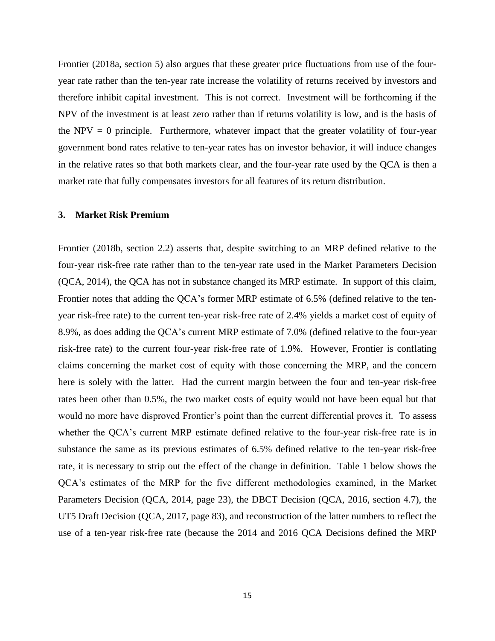Frontier (2018a, section 5) also argues that these greater price fluctuations from use of the fouryear rate rather than the ten-year rate increase the volatility of returns received by investors and therefore inhibit capital investment. This is not correct. Investment will be forthcoming if the NPV of the investment is at least zero rather than if returns volatility is low, and is the basis of the NPV  $= 0$  principle. Furthermore, whatever impact that the greater volatility of four-year government bond rates relative to ten-year rates has on investor behavior, it will induce changes in the relative rates so that both markets clear, and the four-year rate used by the QCA is then a market rate that fully compensates investors for all features of its return distribution.

#### **3. Market Risk Premium**

Frontier (2018b, section 2.2) asserts that, despite switching to an MRP defined relative to the four-year risk-free rate rather than to the ten-year rate used in the Market Parameters Decision (QCA, 2014), the QCA has not in substance changed its MRP estimate. In support of this claim, Frontier notes that adding the QCA's former MRP estimate of 6.5% (defined relative to the tenyear risk-free rate) to the current ten-year risk-free rate of 2.4% yields a market cost of equity of 8.9%, as does adding the QCA's current MRP estimate of 7.0% (defined relative to the four-year risk-free rate) to the current four-year risk-free rate of 1.9%. However, Frontier is conflating claims concerning the market cost of equity with those concerning the MRP, and the concern here is solely with the latter. Had the current margin between the four and ten-year risk-free rates been other than 0.5%, the two market costs of equity would not have been equal but that would no more have disproved Frontier's point than the current differential proves it. To assess whether the QCA's current MRP estimate defined relative to the four-year risk-free rate is in substance the same as its previous estimates of 6.5% defined relative to the ten-year risk-free rate, it is necessary to strip out the effect of the change in definition. Table 1 below shows the QCA's estimates of the MRP for the five different methodologies examined, in the Market Parameters Decision (QCA, 2014, page 23), the DBCT Decision (QCA, 2016, section 4.7), the UT5 Draft Decision (QCA, 2017, page 83), and reconstruction of the latter numbers to reflect the use of a ten-year risk-free rate (because the 2014 and 2016 QCA Decisions defined the MRP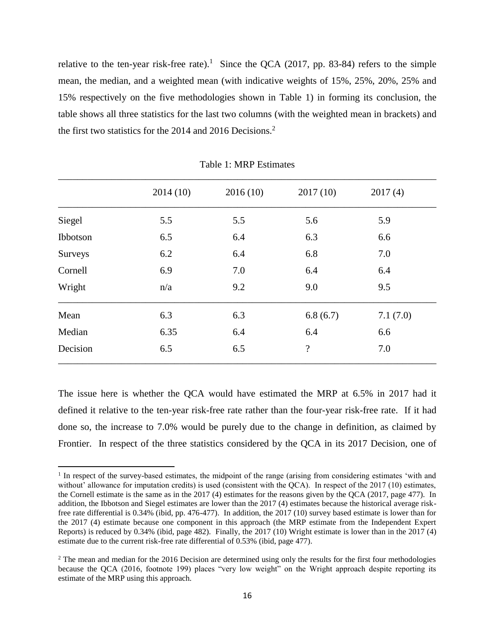relative to the ten-year risk-free rate).<sup>1</sup> Since the QCA (2017, pp. 83-84) refers to the simple mean, the median, and a weighted mean (with indicative weights of 15%, 25%, 20%, 25% and 15% respectively on the five methodologies shown in Table 1) in forming its conclusion, the table shows all three statistics for the last two columns (with the weighted mean in brackets) and the first two statistics for the 2014 and 2016 Decisions. 2

|          | 2014(10) | 2016(10) | 2017(10)                 | 2017(4)  |
|----------|----------|----------|--------------------------|----------|
| Siegel   | 5.5      | 5.5      | 5.6                      | 5.9      |
| Ibbotson | 6.5      | 6.4      | 6.3                      | 6.6      |
| Surveys  | 6.2      | 6.4      | 6.8                      | 7.0      |
| Cornell  | 6.9      | 7.0      | 6.4                      | 6.4      |
| Wright   | n/a      | 9.2      | 9.0                      | 9.5      |
| Mean     | 6.3      | 6.3      | 6.8(6.7)                 | 7.1(7.0) |
| Median   | 6.35     | 6.4      | 6.4                      | 6.6      |
| Decision | 6.5      | 6.5      | $\overline{\mathcal{L}}$ | 7.0      |

Table 1: MRP Estimates

The issue here is whether the QCA would have estimated the MRP at 6.5% in 2017 had it defined it relative to the ten-year risk-free rate rather than the four-year risk-free rate. If it had done so, the increase to 7.0% would be purely due to the change in definition, as claimed by Frontier. In respect of the three statistics considered by the QCA in its 2017 Decision, one of

 $\overline{\phantom{a}}$ 

<sup>&</sup>lt;sup>1</sup> In respect of the survey-based estimates, the midpoint of the range (arising from considering estimates 'with and without' allowance for imputation credits) is used (consistent with the QCA). In respect of the 2017 (10) estimates, the Cornell estimate is the same as in the 2017 (4) estimates for the reasons given by the QCA (2017, page 477). In addition, the Ibbotson and Siegel estimates are lower than the 2017 (4) estimates because the historical average riskfree rate differential is 0.34% (ibid, pp. 476-477). In addition, the 2017 (10) survey based estimate is lower than for the 2017 (4) estimate because one component in this approach (the MRP estimate from the Independent Expert Reports) is reduced by 0.34% (ibid, page 482). Finally, the 2017 (10) Wright estimate is lower than in the 2017 (4) estimate due to the current risk-free rate differential of 0.53% (ibid, page 477).

<sup>&</sup>lt;sup>2</sup> The mean and median for the 2016 Decision are determined using only the results for the first four methodologies because the QCA (2016, footnote 199) places "very low weight" on the Wright approach despite reporting its estimate of the MRP using this approach.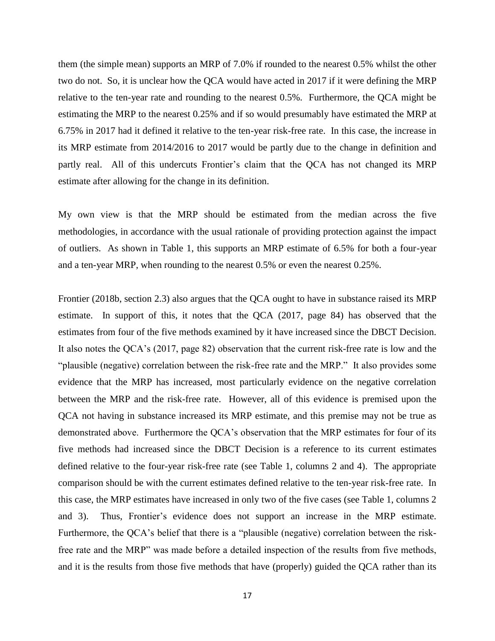them (the simple mean) supports an MRP of 7.0% if rounded to the nearest 0.5% whilst the other two do not. So, it is unclear how the QCA would have acted in 2017 if it were defining the MRP relative to the ten-year rate and rounding to the nearest 0.5%. Furthermore, the QCA might be estimating the MRP to the nearest 0.25% and if so would presumably have estimated the MRP at 6.75% in 2017 had it defined it relative to the ten-year risk-free rate. In this case, the increase in its MRP estimate from 2014/2016 to 2017 would be partly due to the change in definition and partly real. All of this undercuts Frontier's claim that the QCA has not changed its MRP estimate after allowing for the change in its definition.

My own view is that the MRP should be estimated from the median across the five methodologies, in accordance with the usual rationale of providing protection against the impact of outliers. As shown in Table 1, this supports an MRP estimate of 6.5% for both a four-year and a ten-year MRP, when rounding to the nearest 0.5% or even the nearest 0.25%.

Frontier (2018b, section 2.3) also argues that the QCA ought to have in substance raised its MRP estimate. In support of this, it notes that the QCA (2017, page 84) has observed that the estimates from four of the five methods examined by it have increased since the DBCT Decision. It also notes the QCA's (2017, page 82) observation that the current risk-free rate is low and the "plausible (negative) correlation between the risk-free rate and the MRP." It also provides some evidence that the MRP has increased, most particularly evidence on the negative correlation between the MRP and the risk-free rate. However, all of this evidence is premised upon the QCA not having in substance increased its MRP estimate, and this premise may not be true as demonstrated above. Furthermore the QCA's observation that the MRP estimates for four of its five methods had increased since the DBCT Decision is a reference to its current estimates defined relative to the four-year risk-free rate (see Table 1, columns 2 and 4). The appropriate comparison should be with the current estimates defined relative to the ten-year risk-free rate. In this case, the MRP estimates have increased in only two of the five cases (see Table 1, columns 2 and 3). Thus, Frontier's evidence does not support an increase in the MRP estimate. Furthermore, the QCA's belief that there is a "plausible (negative) correlation between the riskfree rate and the MRP" was made before a detailed inspection of the results from five methods, and it is the results from those five methods that have (properly) guided the QCA rather than its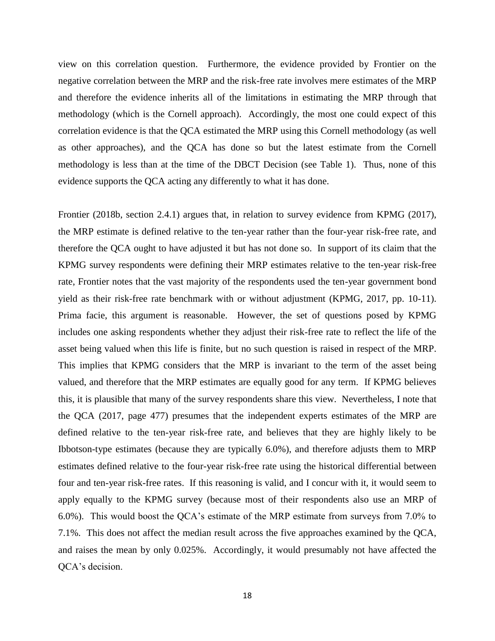view on this correlation question. Furthermore, the evidence provided by Frontier on the negative correlation between the MRP and the risk-free rate involves mere estimates of the MRP and therefore the evidence inherits all of the limitations in estimating the MRP through that methodology (which is the Cornell approach). Accordingly, the most one could expect of this correlation evidence is that the QCA estimated the MRP using this Cornell methodology (as well as other approaches), and the QCA has done so but the latest estimate from the Cornell methodology is less than at the time of the DBCT Decision (see Table 1). Thus, none of this evidence supports the QCA acting any differently to what it has done.

Frontier (2018b, section 2.4.1) argues that, in relation to survey evidence from KPMG (2017), the MRP estimate is defined relative to the ten-year rather than the four-year risk-free rate, and therefore the QCA ought to have adjusted it but has not done so. In support of its claim that the KPMG survey respondents were defining their MRP estimates relative to the ten-year risk-free rate, Frontier notes that the vast majority of the respondents used the ten-year government bond yield as their risk-free rate benchmark with or without adjustment (KPMG, 2017, pp. 10-11). Prima facie, this argument is reasonable. However, the set of questions posed by KPMG includes one asking respondents whether they adjust their risk-free rate to reflect the life of the asset being valued when this life is finite, but no such question is raised in respect of the MRP. This implies that KPMG considers that the MRP is invariant to the term of the asset being valued, and therefore that the MRP estimates are equally good for any term. If KPMG believes this, it is plausible that many of the survey respondents share this view. Nevertheless, I note that the QCA (2017, page 477) presumes that the independent experts estimates of the MRP are defined relative to the ten-year risk-free rate, and believes that they are highly likely to be Ibbotson-type estimates (because they are typically 6.0%), and therefore adjusts them to MRP estimates defined relative to the four-year risk-free rate using the historical differential between four and ten-year risk-free rates. If this reasoning is valid, and I concur with it, it would seem to apply equally to the KPMG survey (because most of their respondents also use an MRP of 6.0%). This would boost the QCA's estimate of the MRP estimate from surveys from 7.0% to 7.1%. This does not affect the median result across the five approaches examined by the QCA, and raises the mean by only 0.025%. Accordingly, it would presumably not have affected the QCA's decision.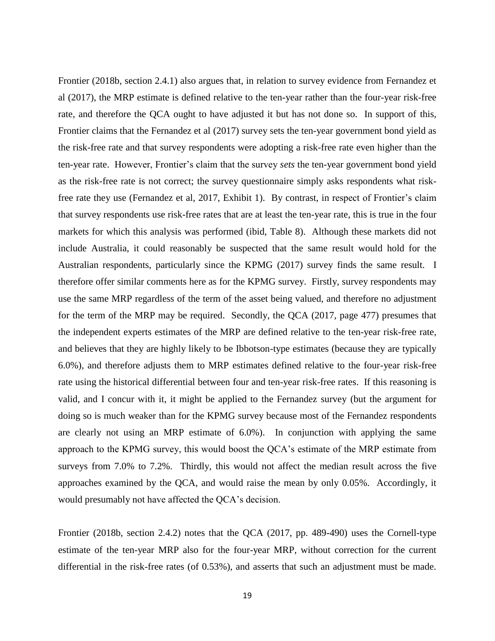Frontier (2018b, section 2.4.1) also argues that, in relation to survey evidence from Fernandez et al (2017), the MRP estimate is defined relative to the ten-year rather than the four-year risk-free rate, and therefore the QCA ought to have adjusted it but has not done so. In support of this, Frontier claims that the Fernandez et al (2017) survey sets the ten-year government bond yield as the risk-free rate and that survey respondents were adopting a risk-free rate even higher than the ten-year rate. However, Frontier's claim that the survey *sets* the ten-year government bond yield as the risk-free rate is not correct; the survey questionnaire simply asks respondents what riskfree rate they use (Fernandez et al, 2017, Exhibit 1). By contrast, in respect of Frontier's claim that survey respondents use risk-free rates that are at least the ten-year rate, this is true in the four markets for which this analysis was performed (ibid, Table 8). Although these markets did not include Australia, it could reasonably be suspected that the same result would hold for the Australian respondents, particularly since the KPMG (2017) survey finds the same result. I therefore offer similar comments here as for the KPMG survey. Firstly, survey respondents may use the same MRP regardless of the term of the asset being valued, and therefore no adjustment for the term of the MRP may be required. Secondly, the QCA (2017, page 477) presumes that the independent experts estimates of the MRP are defined relative to the ten-year risk-free rate, and believes that they are highly likely to be Ibbotson-type estimates (because they are typically 6.0%), and therefore adjusts them to MRP estimates defined relative to the four-year risk-free rate using the historical differential between four and ten-year risk-free rates. If this reasoning is valid, and I concur with it, it might be applied to the Fernandez survey (but the argument for doing so is much weaker than for the KPMG survey because most of the Fernandez respondents are clearly not using an MRP estimate of 6.0%). In conjunction with applying the same approach to the KPMG survey, this would boost the QCA's estimate of the MRP estimate from surveys from 7.0% to 7.2%. Thirdly, this would not affect the median result across the five approaches examined by the QCA, and would raise the mean by only 0.05%. Accordingly, it would presumably not have affected the QCA's decision.

Frontier (2018b, section 2.4.2) notes that the QCA (2017, pp. 489-490) uses the Cornell-type estimate of the ten-year MRP also for the four-year MRP, without correction for the current differential in the risk-free rates (of 0.53%), and asserts that such an adjustment must be made.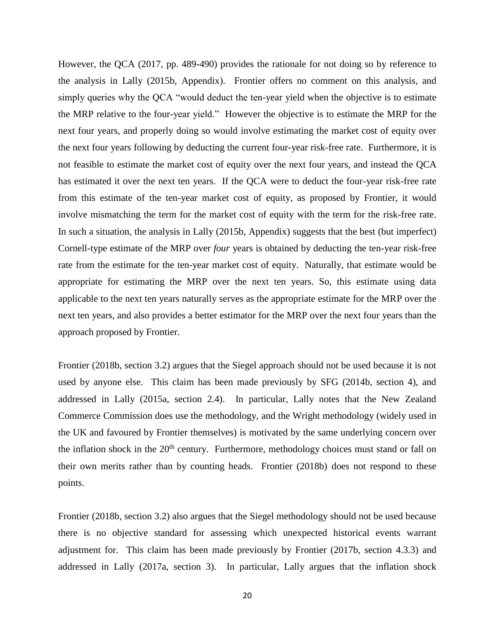However, the QCA (2017, pp. 489-490) provides the rationale for not doing so by reference to the analysis in Lally (2015b, Appendix). Frontier offers no comment on this analysis, and simply queries why the QCA "would deduct the ten-year yield when the objective is to estimate the MRP relative to the four-year yield." However the objective is to estimate the MRP for the next four years, and properly doing so would involve estimating the market cost of equity over the next four years following by deducting the current four-year risk-free rate. Furthermore, it is not feasible to estimate the market cost of equity over the next four years, and instead the QCA has estimated it over the next ten years. If the QCA were to deduct the four-year risk-free rate from this estimate of the ten-year market cost of equity, as proposed by Frontier, it would involve mismatching the term for the market cost of equity with the term for the risk-free rate. In such a situation, the analysis in Lally (2015b, Appendix) suggests that the best (but imperfect) Cornell-type estimate of the MRP over *four* years is obtained by deducting the ten-year risk-free rate from the estimate for the ten-year market cost of equity. Naturally, that estimate would be appropriate for estimating the MRP over the next ten years. So, this estimate using data applicable to the next ten years naturally serves as the appropriate estimate for the MRP over the next ten years, and also provides a better estimator for the MRP over the next four years than the approach proposed by Frontier.

Frontier (2018b, section 3.2) argues that the Siegel approach should not be used because it is not used by anyone else. This claim has been made previously by SFG (2014b, section 4), and addressed in Lally (2015a, section 2.4). In particular, Lally notes that the New Zealand Commerce Commission does use the methodology, and the Wright methodology (widely used in the UK and favoured by Frontier themselves) is motivated by the same underlying concern over the inflation shock in the  $20<sup>th</sup>$  century. Furthermore, methodology choices must stand or fall on their own merits rather than by counting heads. Frontier (2018b) does not respond to these points.

Frontier (2018b, section 3.2) also argues that the Siegel methodology should not be used because there is no objective standard for assessing which unexpected historical events warrant adjustment for. This claim has been made previously by Frontier (2017b, section 4.3.3) and addressed in Lally (2017a, section 3). In particular, Lally argues that the inflation shock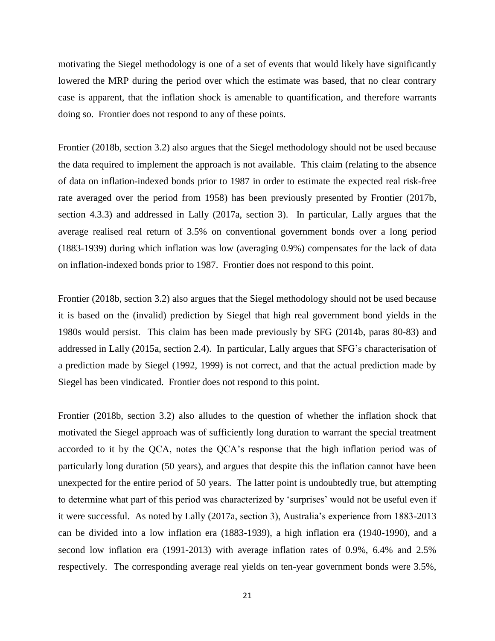motivating the Siegel methodology is one of a set of events that would likely have significantly lowered the MRP during the period over which the estimate was based, that no clear contrary case is apparent, that the inflation shock is amenable to quantification, and therefore warrants doing so. Frontier does not respond to any of these points.

Frontier (2018b, section 3.2) also argues that the Siegel methodology should not be used because the data required to implement the approach is not available. This claim (relating to the absence of data on inflation-indexed bonds prior to 1987 in order to estimate the expected real risk-free rate averaged over the period from 1958) has been previously presented by Frontier (2017b, section 4.3.3) and addressed in Lally (2017a, section 3). In particular, Lally argues that the average realised real return of 3.5% on conventional government bonds over a long period (1883-1939) during which inflation was low (averaging 0.9%) compensates for the lack of data on inflation-indexed bonds prior to 1987. Frontier does not respond to this point.

Frontier (2018b, section 3.2) also argues that the Siegel methodology should not be used because it is based on the (invalid) prediction by Siegel that high real government bond yields in the 1980s would persist. This claim has been made previously by SFG (2014b, paras 80-83) and addressed in Lally (2015a, section 2.4). In particular, Lally argues that SFG's characterisation of a prediction made by Siegel (1992, 1999) is not correct, and that the actual prediction made by Siegel has been vindicated. Frontier does not respond to this point.

Frontier (2018b, section 3.2) also alludes to the question of whether the inflation shock that motivated the Siegel approach was of sufficiently long duration to warrant the special treatment accorded to it by the QCA, notes the QCA's response that the high inflation period was of particularly long duration (50 years), and argues that despite this the inflation cannot have been unexpected for the entire period of 50 years. The latter point is undoubtedly true, but attempting to determine what part of this period was characterized by 'surprises' would not be useful even if it were successful. As noted by Lally (2017a, section 3), Australia's experience from 1883-2013 can be divided into a low inflation era (1883-1939), a high inflation era (1940-1990), and a second low inflation era (1991-2013) with average inflation rates of 0.9%, 6.4% and 2.5% respectively. The corresponding average real yields on ten-year government bonds were 3.5%,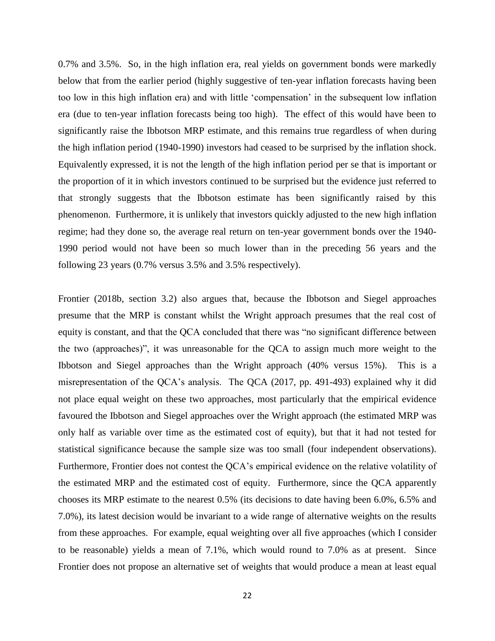0.7% and 3.5%. So, in the high inflation era, real yields on government bonds were markedly below that from the earlier period (highly suggestive of ten-year inflation forecasts having been too low in this high inflation era) and with little 'compensation' in the subsequent low inflation era (due to ten-year inflation forecasts being too high). The effect of this would have been to significantly raise the Ibbotson MRP estimate, and this remains true regardless of when during the high inflation period (1940-1990) investors had ceased to be surprised by the inflation shock. Equivalently expressed, it is not the length of the high inflation period per se that is important or the proportion of it in which investors continued to be surprised but the evidence just referred to that strongly suggests that the Ibbotson estimate has been significantly raised by this phenomenon. Furthermore, it is unlikely that investors quickly adjusted to the new high inflation regime; had they done so, the average real return on ten-year government bonds over the 1940- 1990 period would not have been so much lower than in the preceding 56 years and the following 23 years (0.7% versus 3.5% and 3.5% respectively).

Frontier (2018b, section 3.2) also argues that, because the Ibbotson and Siegel approaches presume that the MRP is constant whilst the Wright approach presumes that the real cost of equity is constant, and that the QCA concluded that there was "no significant difference between the two (approaches)", it was unreasonable for the QCA to assign much more weight to the Ibbotson and Siegel approaches than the Wright approach (40% versus 15%). This is a misrepresentation of the QCA's analysis. The QCA (2017, pp. 491-493) explained why it did not place equal weight on these two approaches, most particularly that the empirical evidence favoured the Ibbotson and Siegel approaches over the Wright approach (the estimated MRP was only half as variable over time as the estimated cost of equity), but that it had not tested for statistical significance because the sample size was too small (four independent observations). Furthermore, Frontier does not contest the QCA's empirical evidence on the relative volatility of the estimated MRP and the estimated cost of equity. Furthermore, since the QCA apparently chooses its MRP estimate to the nearest 0.5% (its decisions to date having been 6.0%, 6.5% and 7.0%), its latest decision would be invariant to a wide range of alternative weights on the results from these approaches. For example, equal weighting over all five approaches (which I consider to be reasonable) yields a mean of 7.1%, which would round to 7.0% as at present. Since Frontier does not propose an alternative set of weights that would produce a mean at least equal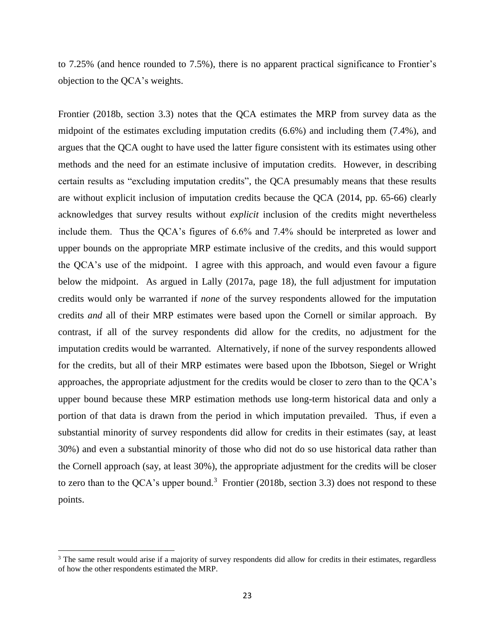to 7.25% (and hence rounded to 7.5%), there is no apparent practical significance to Frontier's objection to the QCA's weights.

Frontier (2018b, section 3.3) notes that the QCA estimates the MRP from survey data as the midpoint of the estimates excluding imputation credits (6.6%) and including them (7.4%), and argues that the QCA ought to have used the latter figure consistent with its estimates using other methods and the need for an estimate inclusive of imputation credits. However, in describing certain results as "excluding imputation credits", the QCA presumably means that these results are without explicit inclusion of imputation credits because the QCA (2014, pp. 65-66) clearly acknowledges that survey results without *explicit* inclusion of the credits might nevertheless include them. Thus the QCA's figures of 6.6% and 7.4% should be interpreted as lower and upper bounds on the appropriate MRP estimate inclusive of the credits, and this would support the QCA's use of the midpoint. I agree with this approach, and would even favour a figure below the midpoint. As argued in Lally (2017a, page 18), the full adjustment for imputation credits would only be warranted if *none* of the survey respondents allowed for the imputation credits *and* all of their MRP estimates were based upon the Cornell or similar approach. By contrast, if all of the survey respondents did allow for the credits, no adjustment for the imputation credits would be warranted. Alternatively, if none of the survey respondents allowed for the credits, but all of their MRP estimates were based upon the Ibbotson, Siegel or Wright approaches, the appropriate adjustment for the credits would be closer to zero than to the QCA's upper bound because these MRP estimation methods use long-term historical data and only a portion of that data is drawn from the period in which imputation prevailed. Thus, if even a substantial minority of survey respondents did allow for credits in their estimates (say, at least 30%) and even a substantial minority of those who did not do so use historical data rather than the Cornell approach (say, at least 30%), the appropriate adjustment for the credits will be closer to zero than to the QCA's upper bound.<sup>3</sup> Frontier (2018b, section 3.3) does not respond to these points.

 $\overline{\phantom{a}}$ 

<sup>&</sup>lt;sup>3</sup> The same result would arise if a majority of survey respondents did allow for credits in their estimates, regardless of how the other respondents estimated the MRP.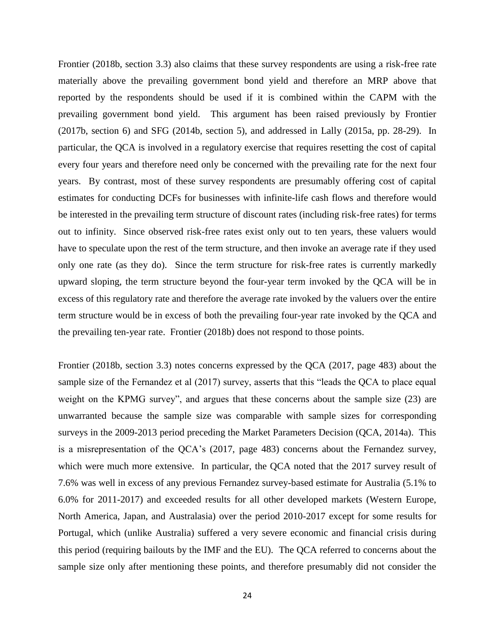Frontier (2018b, section 3.3) also claims that these survey respondents are using a risk-free rate materially above the prevailing government bond yield and therefore an MRP above that reported by the respondents should be used if it is combined within the CAPM with the prevailing government bond yield. This argument has been raised previously by Frontier (2017b, section 6) and SFG (2014b, section 5), and addressed in Lally (2015a, pp. 28-29). In particular, the QCA is involved in a regulatory exercise that requires resetting the cost of capital every four years and therefore need only be concerned with the prevailing rate for the next four years. By contrast, most of these survey respondents are presumably offering cost of capital estimates for conducting DCFs for businesses with infinite-life cash flows and therefore would be interested in the prevailing term structure of discount rates (including risk-free rates) for terms out to infinity. Since observed risk-free rates exist only out to ten years, these valuers would have to speculate upon the rest of the term structure, and then invoke an average rate if they used only one rate (as they do). Since the term structure for risk-free rates is currently markedly upward sloping, the term structure beyond the four-year term invoked by the QCA will be in excess of this regulatory rate and therefore the average rate invoked by the valuers over the entire term structure would be in excess of both the prevailing four-year rate invoked by the QCA and the prevailing ten-year rate. Frontier (2018b) does not respond to those points.

Frontier (2018b, section 3.3) notes concerns expressed by the QCA (2017, page 483) about the sample size of the Fernandez et al (2017) survey, asserts that this "leads the QCA to place equal weight on the KPMG survey", and argues that these concerns about the sample size (23) are unwarranted because the sample size was comparable with sample sizes for corresponding surveys in the 2009-2013 period preceding the Market Parameters Decision (QCA, 2014a). This is a misrepresentation of the QCA's (2017, page 483) concerns about the Fernandez survey, which were much more extensive. In particular, the QCA noted that the 2017 survey result of 7.6% was well in excess of any previous Fernandez survey-based estimate for Australia (5.1% to 6.0% for 2011-2017) and exceeded results for all other developed markets (Western Europe, North America, Japan, and Australasia) over the period 2010-2017 except for some results for Portugal, which (unlike Australia) suffered a very severe economic and financial crisis during this period (requiring bailouts by the IMF and the EU). The QCA referred to concerns about the sample size only after mentioning these points, and therefore presumably did not consider the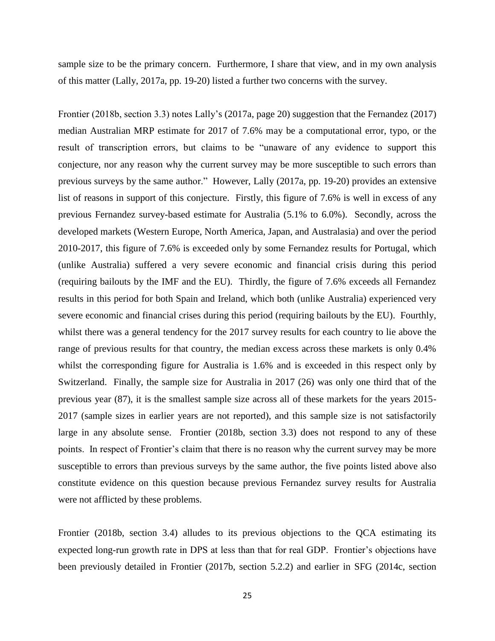sample size to be the primary concern. Furthermore, I share that view, and in my own analysis of this matter (Lally, 2017a, pp. 19-20) listed a further two concerns with the survey.

Frontier (2018b, section 3.3) notes Lally's (2017a, page 20) suggestion that the Fernandez (2017) median Australian MRP estimate for 2017 of 7.6% may be a computational error, typo, or the result of transcription errors, but claims to be "unaware of any evidence to support this conjecture, nor any reason why the current survey may be more susceptible to such errors than previous surveys by the same author." However, Lally (2017a, pp. 19-20) provides an extensive list of reasons in support of this conjecture. Firstly, this figure of 7.6% is well in excess of any previous Fernandez survey-based estimate for Australia (5.1% to 6.0%). Secondly, across the developed markets (Western Europe, North America, Japan, and Australasia) and over the period 2010-2017, this figure of 7.6% is exceeded only by some Fernandez results for Portugal, which (unlike Australia) suffered a very severe economic and financial crisis during this period (requiring bailouts by the IMF and the EU). Thirdly, the figure of 7.6% exceeds all Fernandez results in this period for both Spain and Ireland, which both (unlike Australia) experienced very severe economic and financial crises during this period (requiring bailouts by the EU). Fourthly, whilst there was a general tendency for the 2017 survey results for each country to lie above the range of previous results for that country, the median excess across these markets is only 0.4% whilst the corresponding figure for Australia is 1.6% and is exceeded in this respect only by Switzerland. Finally, the sample size for Australia in 2017 (26) was only one third that of the previous year (87), it is the smallest sample size across all of these markets for the years 2015- 2017 (sample sizes in earlier years are not reported), and this sample size is not satisfactorily large in any absolute sense. Frontier (2018b, section 3.3) does not respond to any of these points. In respect of Frontier's claim that there is no reason why the current survey may be more susceptible to errors than previous surveys by the same author, the five points listed above also constitute evidence on this question because previous Fernandez survey results for Australia were not afflicted by these problems.

Frontier (2018b, section 3.4) alludes to its previous objections to the QCA estimating its expected long-run growth rate in DPS at less than that for real GDP. Frontier's objections have been previously detailed in Frontier (2017b, section 5.2.2) and earlier in SFG (2014c, section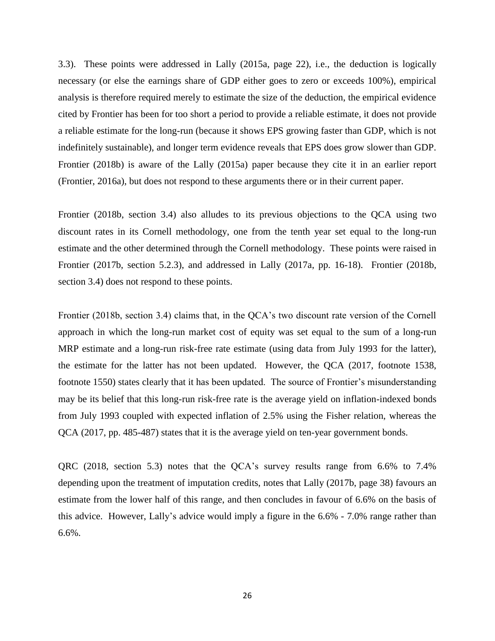3.3). These points were addressed in Lally (2015a, page 22), i.e., the deduction is logically necessary (or else the earnings share of GDP either goes to zero or exceeds 100%), empirical analysis is therefore required merely to estimate the size of the deduction, the empirical evidence cited by Frontier has been for too short a period to provide a reliable estimate, it does not provide a reliable estimate for the long-run (because it shows EPS growing faster than GDP, which is not indefinitely sustainable), and longer term evidence reveals that EPS does grow slower than GDP. Frontier (2018b) is aware of the Lally (2015a) paper because they cite it in an earlier report (Frontier, 2016a), but does not respond to these arguments there or in their current paper.

Frontier (2018b, section 3.4) also alludes to its previous objections to the QCA using two discount rates in its Cornell methodology, one from the tenth year set equal to the long-run estimate and the other determined through the Cornell methodology. These points were raised in Frontier (2017b, section 5.2.3), and addressed in Lally (2017a, pp. 16-18). Frontier (2018b, section 3.4) does not respond to these points.

Frontier (2018b, section 3.4) claims that, in the QCA's two discount rate version of the Cornell approach in which the long-run market cost of equity was set equal to the sum of a long-run MRP estimate and a long-run risk-free rate estimate (using data from July 1993 for the latter), the estimate for the latter has not been updated. However, the QCA (2017, footnote 1538, footnote 1550) states clearly that it has been updated. The source of Frontier's misunderstanding may be its belief that this long-run risk-free rate is the average yield on inflation-indexed bonds from July 1993 coupled with expected inflation of 2.5% using the Fisher relation, whereas the QCA (2017, pp. 485-487) states that it is the average yield on ten-year government bonds.

QRC (2018, section 5.3) notes that the QCA's survey results range from 6.6% to 7.4% depending upon the treatment of imputation credits, notes that Lally (2017b, page 38) favours an estimate from the lower half of this range, and then concludes in favour of 6.6% on the basis of this advice. However, Lally's advice would imply a figure in the 6.6% - 7.0% range rather than 6.6%.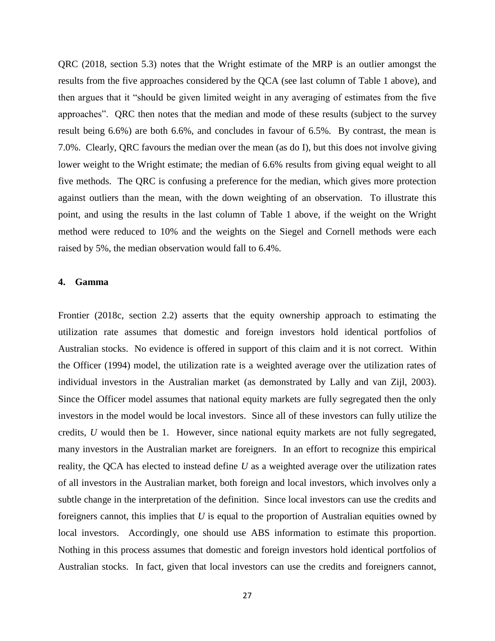QRC (2018, section 5.3) notes that the Wright estimate of the MRP is an outlier amongst the results from the five approaches considered by the QCA (see last column of Table 1 above), and then argues that it "should be given limited weight in any averaging of estimates from the five approaches". QRC then notes that the median and mode of these results (subject to the survey result being 6.6%) are both 6.6%, and concludes in favour of 6.5%. By contrast, the mean is 7.0%. Clearly, QRC favours the median over the mean (as do I), but this does not involve giving lower weight to the Wright estimate; the median of 6.6% results from giving equal weight to all five methods. The QRC is confusing a preference for the median, which gives more protection against outliers than the mean, with the down weighting of an observation. To illustrate this point, and using the results in the last column of Table 1 above, if the weight on the Wright method were reduced to 10% and the weights on the Siegel and Cornell methods were each raised by 5%, the median observation would fall to 6.4%.

#### **4. Gamma**

Frontier (2018c, section 2.2) asserts that the equity ownership approach to estimating the utilization rate assumes that domestic and foreign investors hold identical portfolios of Australian stocks. No evidence is offered in support of this claim and it is not correct. Within the Officer (1994) model, the utilization rate is a weighted average over the utilization rates of individual investors in the Australian market (as demonstrated by Lally and van Zijl, 2003). Since the Officer model assumes that national equity markets are fully segregated then the only investors in the model would be local investors. Since all of these investors can fully utilize the credits, *U* would then be 1. However, since national equity markets are not fully segregated, many investors in the Australian market are foreigners. In an effort to recognize this empirical reality, the QCA has elected to instead define *U* as a weighted average over the utilization rates of all investors in the Australian market, both foreign and local investors, which involves only a subtle change in the interpretation of the definition. Since local investors can use the credits and foreigners cannot, this implies that *U* is equal to the proportion of Australian equities owned by local investors. Accordingly, one should use ABS information to estimate this proportion. Nothing in this process assumes that domestic and foreign investors hold identical portfolios of Australian stocks. In fact, given that local investors can use the credits and foreigners cannot,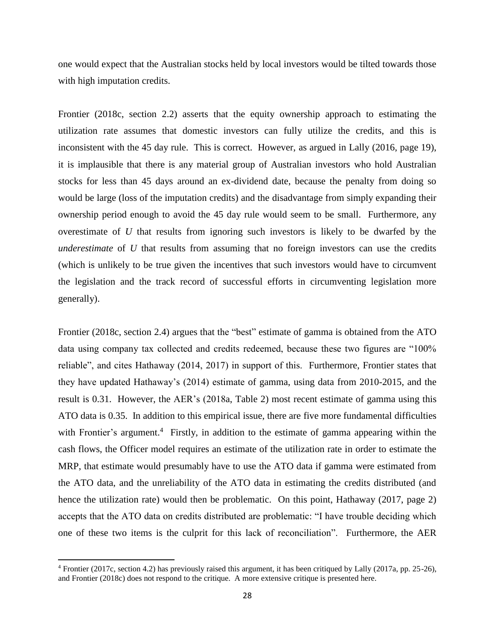one would expect that the Australian stocks held by local investors would be tilted towards those with high imputation credits.

Frontier (2018c, section 2.2) asserts that the equity ownership approach to estimating the utilization rate assumes that domestic investors can fully utilize the credits, and this is inconsistent with the 45 day rule. This is correct. However, as argued in Lally (2016, page 19), it is implausible that there is any material group of Australian investors who hold Australian stocks for less than 45 days around an ex-dividend date, because the penalty from doing so would be large (loss of the imputation credits) and the disadvantage from simply expanding their ownership period enough to avoid the 45 day rule would seem to be small. Furthermore, any overestimate of *U* that results from ignoring such investors is likely to be dwarfed by the *underestimate* of *U* that results from assuming that no foreign investors can use the credits (which is unlikely to be true given the incentives that such investors would have to circumvent the legislation and the track record of successful efforts in circumventing legislation more generally).

Frontier (2018c, section 2.4) argues that the "best" estimate of gamma is obtained from the ATO data using company tax collected and credits redeemed, because these two figures are "100% reliable", and cites Hathaway (2014, 2017) in support of this. Furthermore, Frontier states that they have updated Hathaway's (2014) estimate of gamma, using data from 2010-2015, and the result is 0.31. However, the AER's (2018a, Table 2) most recent estimate of gamma using this ATO data is 0.35. In addition to this empirical issue, there are five more fundamental difficulties with Frontier's argument.<sup>4</sup> Firstly, in addition to the estimate of gamma appearing within the cash flows, the Officer model requires an estimate of the utilization rate in order to estimate the MRP, that estimate would presumably have to use the ATO data if gamma were estimated from the ATO data, and the unreliability of the ATO data in estimating the credits distributed (and hence the utilization rate) would then be problematic. On this point, Hathaway (2017, page 2) accepts that the ATO data on credits distributed are problematic: "I have trouble deciding which one of these two items is the culprit for this lack of reconciliation". Furthermore, the AER

 $\overline{a}$ 

<sup>4</sup> Frontier (2017c, section 4.2) has previously raised this argument, it has been critiqued by Lally (2017a, pp. 25-26), and Frontier (2018c) does not respond to the critique. A more extensive critique is presented here.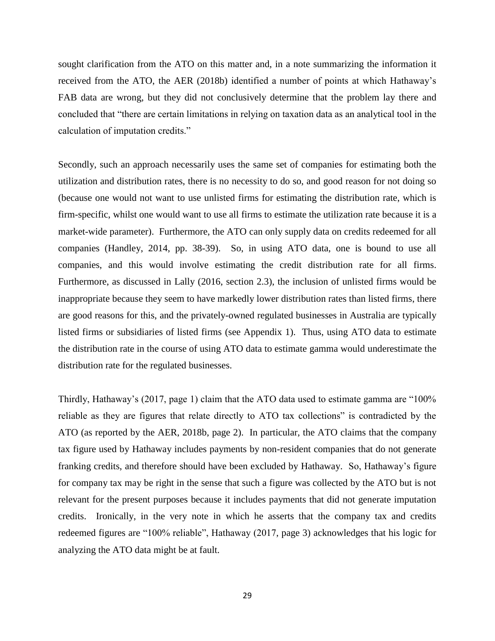sought clarification from the ATO on this matter and, in a note summarizing the information it received from the ATO, the AER (2018b) identified a number of points at which Hathaway's FAB data are wrong, but they did not conclusively determine that the problem lay there and concluded that "there are certain limitations in relying on taxation data as an analytical tool in the calculation of imputation credits."

Secondly, such an approach necessarily uses the same set of companies for estimating both the utilization and distribution rates, there is no necessity to do so, and good reason for not doing so (because one would not want to use unlisted firms for estimating the distribution rate, which is firm-specific, whilst one would want to use all firms to estimate the utilization rate because it is a market-wide parameter). Furthermore, the ATO can only supply data on credits redeemed for all companies (Handley, 2014, pp. 38-39). So, in using ATO data, one is bound to use all companies, and this would involve estimating the credit distribution rate for all firms. Furthermore, as discussed in Lally (2016, section 2.3), the inclusion of unlisted firms would be inappropriate because they seem to have markedly lower distribution rates than listed firms, there are good reasons for this, and the privately-owned regulated businesses in Australia are typically listed firms or subsidiaries of listed firms (see Appendix 1). Thus, using ATO data to estimate the distribution rate in the course of using ATO data to estimate gamma would underestimate the distribution rate for the regulated businesses.

Thirdly, Hathaway's (2017, page 1) claim that the ATO data used to estimate gamma are "100% reliable as they are figures that relate directly to ATO tax collections" is contradicted by the ATO (as reported by the AER, 2018b, page 2). In particular, the ATO claims that the company tax figure used by Hathaway includes payments by non-resident companies that do not generate franking credits, and therefore should have been excluded by Hathaway. So, Hathaway's figure for company tax may be right in the sense that such a figure was collected by the ATO but is not relevant for the present purposes because it includes payments that did not generate imputation credits. Ironically, in the very note in which he asserts that the company tax and credits redeemed figures are "100% reliable", Hathaway (2017, page 3) acknowledges that his logic for analyzing the ATO data might be at fault.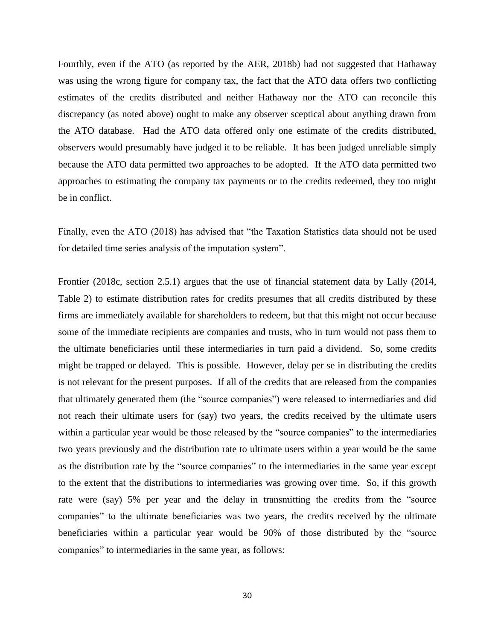Fourthly, even if the ATO (as reported by the AER, 2018b) had not suggested that Hathaway was using the wrong figure for company tax, the fact that the ATO data offers two conflicting estimates of the credits distributed and neither Hathaway nor the ATO can reconcile this discrepancy (as noted above) ought to make any observer sceptical about anything drawn from the ATO database. Had the ATO data offered only one estimate of the credits distributed, observers would presumably have judged it to be reliable. It has been judged unreliable simply because the ATO data permitted two approaches to be adopted. If the ATO data permitted two approaches to estimating the company tax payments or to the credits redeemed, they too might be in conflict.

Finally, even the ATO (2018) has advised that "the Taxation Statistics data should not be used for detailed time series analysis of the imputation system".

Frontier (2018c, section 2.5.1) argues that the use of financial statement data by Lally (2014, Table 2) to estimate distribution rates for credits presumes that all credits distributed by these firms are immediately available for shareholders to redeem, but that this might not occur because some of the immediate recipients are companies and trusts, who in turn would not pass them to the ultimate beneficiaries until these intermediaries in turn paid a dividend. So, some credits might be trapped or delayed. This is possible. However, delay per se in distributing the credits is not relevant for the present purposes. If all of the credits that are released from the companies that ultimately generated them (the "source companies") were released to intermediaries and did not reach their ultimate users for (say) two years, the credits received by the ultimate users within a particular year would be those released by the "source companies" to the intermediaries two years previously and the distribution rate to ultimate users within a year would be the same as the distribution rate by the "source companies" to the intermediaries in the same year except to the extent that the distributions to intermediaries was growing over time. So, if this growth rate were (say) 5% per year and the delay in transmitting the credits from the "source companies" to the ultimate beneficiaries was two years, the credits received by the ultimate beneficiaries within a particular year would be 90% of those distributed by the "source companies" to intermediaries in the same year, as follows: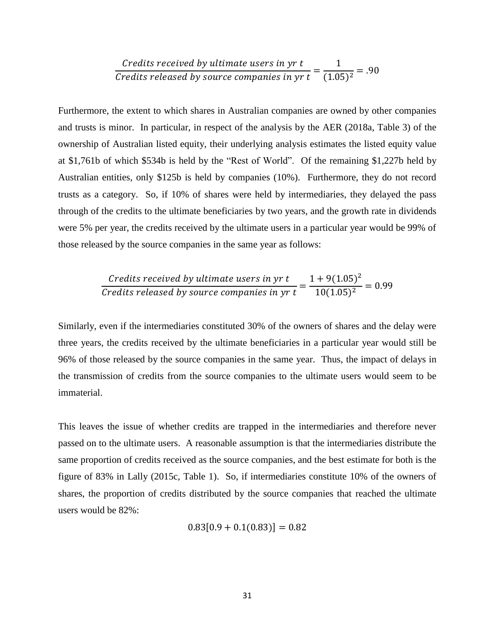*Credits received by ultimate users in yr t*\n
$$
\frac{1}{\text{Credits released by source companies in yr t}} = \frac{1}{(1.05)^2} = .90
$$

Furthermore, the extent to which shares in Australian companies are owned by other companies and trusts is minor. In particular, in respect of the analysis by the AER (2018a, Table 3) of the ownership of Australian listed equity, their underlying analysis estimates the listed equity value at \$1,761b of which \$534b is held by the "Rest of World". Of the remaining \$1,227b held by Australian entities, only \$125b is held by companies (10%). Furthermore, they do not record trusts as a category. So, if 10% of shares were held by intermediaries, they delayed the pass through of the credits to the ultimate beneficiaries by two years, and the growth rate in dividends were 5% per year, the credits received by the ultimate users in a particular year would be 99% of those released by the source companies in the same year as follows:

*Credits received by ultimate users in yr t* 
$$
\frac{1 + 9(1.05)^2}{10(1.05)^2} = 0.99
$$
 *Credits released by source companies in yr t* 
$$
\frac{1 + 9(1.05)^2}{10(1.05)^2} = 0.99
$$

Similarly, even if the intermediaries constituted 30% of the owners of shares and the delay were three years, the credits received by the ultimate beneficiaries in a particular year would still be 96% of those released by the source companies in the same year. Thus, the impact of delays in the transmission of credits from the source companies to the ultimate users would seem to be immaterial.

This leaves the issue of whether credits are trapped in the intermediaries and therefore never passed on to the ultimate users. A reasonable assumption is that the intermediaries distribute the same proportion of credits received as the source companies, and the best estimate for both is the figure of 83% in Lally (2015c, Table 1). So, if intermediaries constitute 10% of the owners of shares, the proportion of credits distributed by the source companies that reached the ultimate users would be 82%:

$$
0.83[0.9 + 0.1(0.83)] = 0.82
$$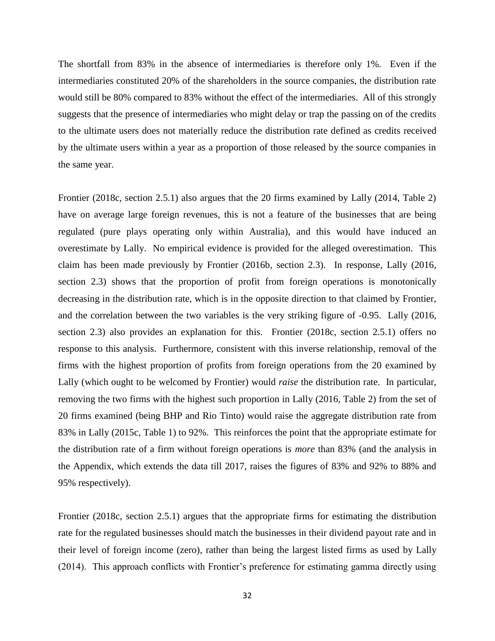The shortfall from 83% in the absence of intermediaries is therefore only 1%. Even if the intermediaries constituted 20% of the shareholders in the source companies, the distribution rate would still be 80% compared to 83% without the effect of the intermediaries. All of this strongly suggests that the presence of intermediaries who might delay or trap the passing on of the credits to the ultimate users does not materially reduce the distribution rate defined as credits received by the ultimate users within a year as a proportion of those released by the source companies in the same year.

Frontier (2018c, section 2.5.1) also argues that the 20 firms examined by Lally (2014, Table 2) have on average large foreign revenues, this is not a feature of the businesses that are being regulated (pure plays operating only within Australia), and this would have induced an overestimate by Lally. No empirical evidence is provided for the alleged overestimation. This claim has been made previously by Frontier (2016b, section 2.3). In response, Lally (2016, section 2.3) shows that the proportion of profit from foreign operations is monotonically decreasing in the distribution rate, which is in the opposite direction to that claimed by Frontier, and the correlation between the two variables is the very striking figure of -0.95. Lally (2016, section 2.3) also provides an explanation for this. Frontier (2018c, section 2.5.1) offers no response to this analysis. Furthermore, consistent with this inverse relationship, removal of the firms with the highest proportion of profits from foreign operations from the 20 examined by Lally (which ought to be welcomed by Frontier) would *raise* the distribution rate. In particular, removing the two firms with the highest such proportion in Lally (2016, Table 2) from the set of 20 firms examined (being BHP and Rio Tinto) would raise the aggregate distribution rate from 83% in Lally (2015c, Table 1) to 92%. This reinforces the point that the appropriate estimate for the distribution rate of a firm without foreign operations is *more* than 83% (and the analysis in the Appendix, which extends the data till 2017, raises the figures of 83% and 92% to 88% and 95% respectively).

Frontier (2018c, section 2.5.1) argues that the appropriate firms for estimating the distribution rate for the regulated businesses should match the businesses in their dividend payout rate and in their level of foreign income (zero), rather than being the largest listed firms as used by Lally (2014). This approach conflicts with Frontier's preference for estimating gamma directly using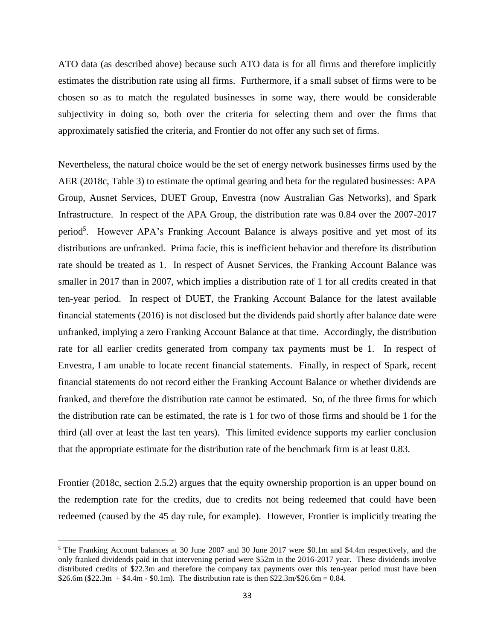ATO data (as described above) because such ATO data is for all firms and therefore implicitly estimates the distribution rate using all firms. Furthermore, if a small subset of firms were to be chosen so as to match the regulated businesses in some way, there would be considerable subjectivity in doing so, both over the criteria for selecting them and over the firms that approximately satisfied the criteria, and Frontier do not offer any such set of firms.

Nevertheless, the natural choice would be the set of energy network businesses firms used by the AER (2018c, Table 3) to estimate the optimal gearing and beta for the regulated businesses: APA Group, Ausnet Services, DUET Group, Envestra (now Australian Gas Networks), and Spark Infrastructure. In respect of the APA Group, the distribution rate was 0.84 over the 2007-2017 period<sup>5</sup>. However APA's Franking Account Balance is always positive and yet most of its distributions are unfranked. Prima facie, this is inefficient behavior and therefore its distribution rate should be treated as 1. In respect of Ausnet Services, the Franking Account Balance was smaller in 2017 than in 2007, which implies a distribution rate of 1 for all credits created in that ten-year period. In respect of DUET, the Franking Account Balance for the latest available financial statements (2016) is not disclosed but the dividends paid shortly after balance date were unfranked, implying a zero Franking Account Balance at that time. Accordingly, the distribution rate for all earlier credits generated from company tax payments must be 1. In respect of Envestra, I am unable to locate recent financial statements. Finally, in respect of Spark, recent financial statements do not record either the Franking Account Balance or whether dividends are franked, and therefore the distribution rate cannot be estimated. So, of the three firms for which the distribution rate can be estimated, the rate is 1 for two of those firms and should be 1 for the third (all over at least the last ten years). This limited evidence supports my earlier conclusion that the appropriate estimate for the distribution rate of the benchmark firm is at least 0.83.

Frontier (2018c, section 2.5.2) argues that the equity ownership proportion is an upper bound on the redemption rate for the credits, due to credits not being redeemed that could have been redeemed (caused by the 45 day rule, for example). However, Frontier is implicitly treating the

 $\overline{a}$ 

<sup>5</sup> The Franking Account balances at 30 June 2007 and 30 June 2017 were \$0.1m and \$4.4m respectively, and the only franked dividends paid in that intervening period were \$52m in the 2016-2017 year. These dividends involve distributed credits of \$22.3m and therefore the company tax payments over this ten-year period must have been  $$26.6m ($22.3m + $4.4m - $0.1m)$ . The distribution rate is then \$22.3m/\$26.6m = 0.84.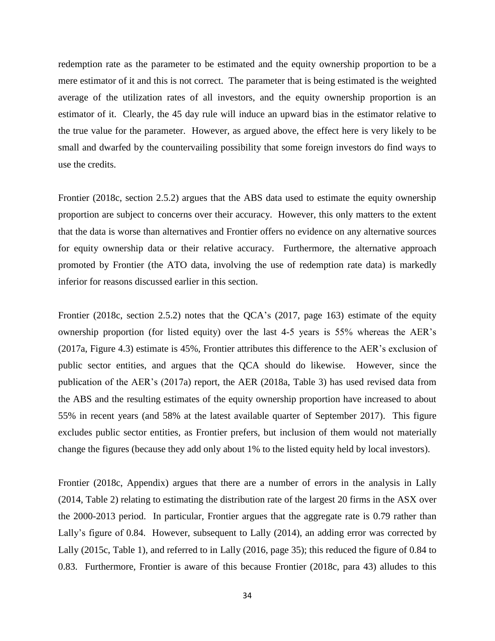redemption rate as the parameter to be estimated and the equity ownership proportion to be a mere estimator of it and this is not correct. The parameter that is being estimated is the weighted average of the utilization rates of all investors, and the equity ownership proportion is an estimator of it. Clearly, the 45 day rule will induce an upward bias in the estimator relative to the true value for the parameter. However, as argued above, the effect here is very likely to be small and dwarfed by the countervailing possibility that some foreign investors do find ways to use the credits.

Frontier (2018c, section 2.5.2) argues that the ABS data used to estimate the equity ownership proportion are subject to concerns over their accuracy. However, this only matters to the extent that the data is worse than alternatives and Frontier offers no evidence on any alternative sources for equity ownership data or their relative accuracy. Furthermore, the alternative approach promoted by Frontier (the ATO data, involving the use of redemption rate data) is markedly inferior for reasons discussed earlier in this section.

Frontier (2018c, section 2.5.2) notes that the QCA's (2017, page 163) estimate of the equity ownership proportion (for listed equity) over the last 4-5 years is 55% whereas the AER's (2017a, Figure 4.3) estimate is 45%, Frontier attributes this difference to the AER's exclusion of public sector entities, and argues that the QCA should do likewise. However, since the publication of the AER's (2017a) report, the AER (2018a, Table 3) has used revised data from the ABS and the resulting estimates of the equity ownership proportion have increased to about 55% in recent years (and 58% at the latest available quarter of September 2017). This figure excludes public sector entities, as Frontier prefers, but inclusion of them would not materially change the figures (because they add only about 1% to the listed equity held by local investors).

Frontier (2018c, Appendix) argues that there are a number of errors in the analysis in Lally (2014, Table 2) relating to estimating the distribution rate of the largest 20 firms in the ASX over the 2000-2013 period. In particular, Frontier argues that the aggregate rate is 0.79 rather than Lally's figure of 0.84. However, subsequent to Lally (2014), an adding error was corrected by Lally (2015c, Table 1), and referred to in Lally (2016, page 35); this reduced the figure of 0.84 to 0.83. Furthermore, Frontier is aware of this because Frontier (2018c, para 43) alludes to this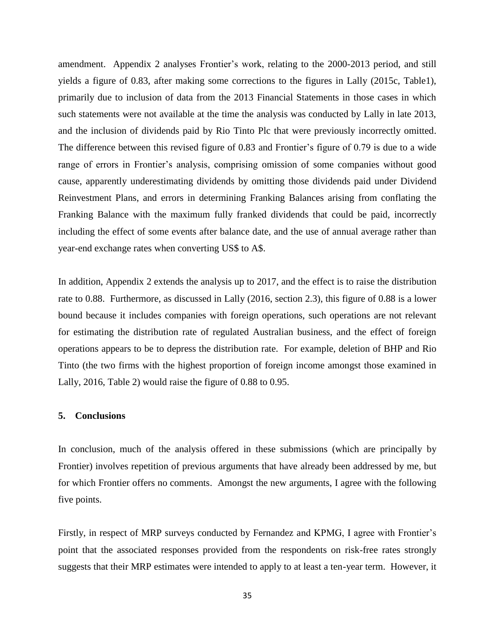amendment. Appendix 2 analyses Frontier's work, relating to the 2000-2013 period, and still yields a figure of 0.83, after making some corrections to the figures in Lally (2015c, Table1), primarily due to inclusion of data from the 2013 Financial Statements in those cases in which such statements were not available at the time the analysis was conducted by Lally in late 2013, and the inclusion of dividends paid by Rio Tinto Plc that were previously incorrectly omitted. The difference between this revised figure of 0.83 and Frontier's figure of 0.79 is due to a wide range of errors in Frontier's analysis, comprising omission of some companies without good cause, apparently underestimating dividends by omitting those dividends paid under Dividend Reinvestment Plans, and errors in determining Franking Balances arising from conflating the Franking Balance with the maximum fully franked dividends that could be paid, incorrectly including the effect of some events after balance date, and the use of annual average rather than year-end exchange rates when converting US\$ to A\$.

In addition, Appendix 2 extends the analysis up to 2017, and the effect is to raise the distribution rate to 0.88. Furthermore, as discussed in Lally (2016, section 2.3), this figure of 0.88 is a lower bound because it includes companies with foreign operations, such operations are not relevant for estimating the distribution rate of regulated Australian business, and the effect of foreign operations appears to be to depress the distribution rate. For example, deletion of BHP and Rio Tinto (the two firms with the highest proportion of foreign income amongst those examined in Lally, 2016, Table 2) would raise the figure of 0.88 to 0.95.

## **5. Conclusions**

In conclusion, much of the analysis offered in these submissions (which are principally by Frontier) involves repetition of previous arguments that have already been addressed by me, but for which Frontier offers no comments. Amongst the new arguments, I agree with the following five points.

Firstly, in respect of MRP surveys conducted by Fernandez and KPMG, I agree with Frontier's point that the associated responses provided from the respondents on risk-free rates strongly suggests that their MRP estimates were intended to apply to at least a ten-year term. However, it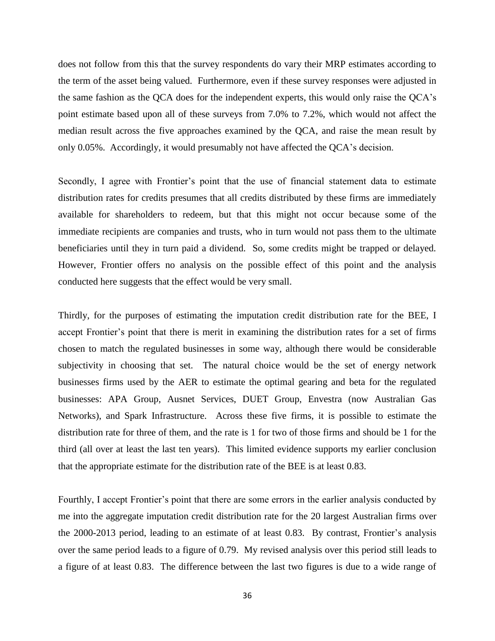does not follow from this that the survey respondents do vary their MRP estimates according to the term of the asset being valued. Furthermore, even if these survey responses were adjusted in the same fashion as the QCA does for the independent experts, this would only raise the QCA's point estimate based upon all of these surveys from 7.0% to 7.2%, which would not affect the median result across the five approaches examined by the QCA, and raise the mean result by only 0.05%. Accordingly, it would presumably not have affected the QCA's decision.

Secondly, I agree with Frontier's point that the use of financial statement data to estimate distribution rates for credits presumes that all credits distributed by these firms are immediately available for shareholders to redeem, but that this might not occur because some of the immediate recipients are companies and trusts, who in turn would not pass them to the ultimate beneficiaries until they in turn paid a dividend. So, some credits might be trapped or delayed. However, Frontier offers no analysis on the possible effect of this point and the analysis conducted here suggests that the effect would be very small.

Thirdly, for the purposes of estimating the imputation credit distribution rate for the BEE, I accept Frontier's point that there is merit in examining the distribution rates for a set of firms chosen to match the regulated businesses in some way, although there would be considerable subjectivity in choosing that set. The natural choice would be the set of energy network businesses firms used by the AER to estimate the optimal gearing and beta for the regulated businesses: APA Group, Ausnet Services, DUET Group, Envestra (now Australian Gas Networks), and Spark Infrastructure. Across these five firms, it is possible to estimate the distribution rate for three of them, and the rate is 1 for two of those firms and should be 1 for the third (all over at least the last ten years). This limited evidence supports my earlier conclusion that the appropriate estimate for the distribution rate of the BEE is at least 0.83.

Fourthly, I accept Frontier's point that there are some errors in the earlier analysis conducted by me into the aggregate imputation credit distribution rate for the 20 largest Australian firms over the 2000-2013 period, leading to an estimate of at least 0.83. By contrast, Frontier's analysis over the same period leads to a figure of 0.79. My revised analysis over this period still leads to a figure of at least 0.83. The difference between the last two figures is due to a wide range of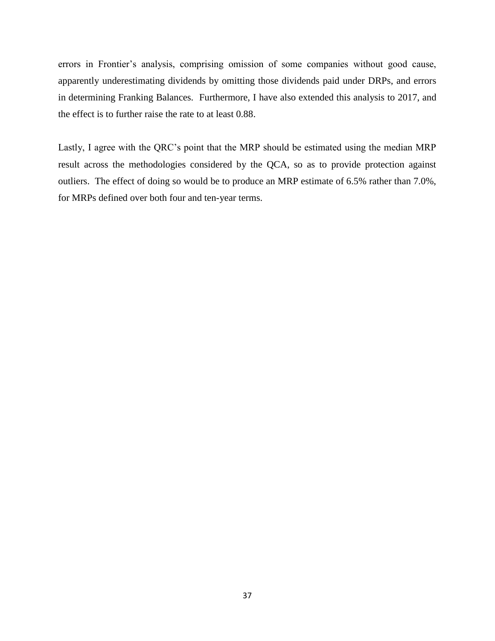errors in Frontier's analysis, comprising omission of some companies without good cause, apparently underestimating dividends by omitting those dividends paid under DRPs, and errors in determining Franking Balances. Furthermore, I have also extended this analysis to 2017, and the effect is to further raise the rate to at least 0.88.

Lastly, I agree with the QRC's point that the MRP should be estimated using the median MRP result across the methodologies considered by the QCA, so as to provide protection against outliers. The effect of doing so would be to produce an MRP estimate of 6.5% rather than 7.0%, for MRPs defined over both four and ten-year terms.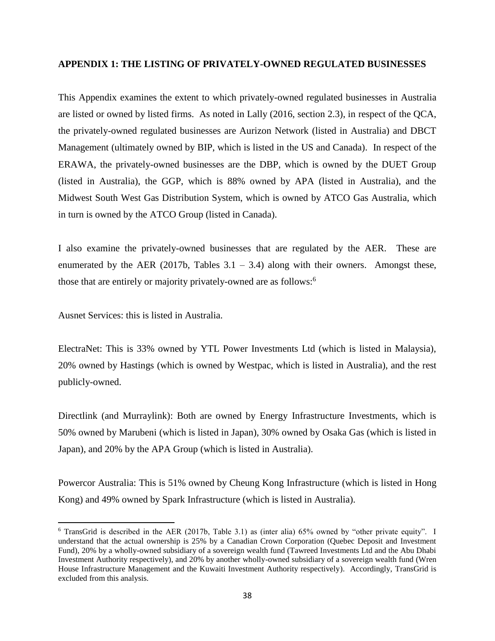#### **APPENDIX 1: THE LISTING OF PRIVATELY-OWNED REGULATED BUSINESSES**

This Appendix examines the extent to which privately-owned regulated businesses in Australia are listed or owned by listed firms. As noted in Lally (2016, section 2.3), in respect of the QCA, the privately-owned regulated businesses are Aurizon Network (listed in Australia) and DBCT Management (ultimately owned by BIP, which is listed in the US and Canada). In respect of the ERAWA, the privately-owned businesses are the DBP, which is owned by the DUET Group (listed in Australia), the GGP, which is 88% owned by APA (listed in Australia), and the Midwest South West Gas Distribution System, which is owned by ATCO Gas Australia, which in turn is owned by the ATCO Group (listed in Canada).

I also examine the privately-owned businesses that are regulated by the AER. These are enumerated by the AER (2017b, Tables  $3.1 - 3.4$ ) along with their owners. Amongst these, those that are entirely or majority privately-owned are as follows:<sup>6</sup>

Ausnet Services: this is listed in Australia.

 $\overline{\phantom{a}}$ 

ElectraNet: This is 33% owned by YTL Power Investments Ltd (which is listed in Malaysia), 20% owned by Hastings (which is owned by Westpac, which is listed in Australia), and the rest publicly-owned.

Directlink (and Murraylink): Both are owned by Energy Infrastructure Investments, which is 50% owned by Marubeni (which is listed in Japan), 30% owned by Osaka Gas (which is listed in Japan), and 20% by the APA Group (which is listed in Australia).

Powercor Australia: This is 51% owned by Cheung Kong Infrastructure (which is listed in Hong Kong) and 49% owned by Spark Infrastructure (which is listed in Australia).

 $6$  TransGrid is described in the AER (2017b, Table 3.1) as (inter alia) 65% owned by "other private equity". I understand that the actual ownership is 25% by a Canadian Crown Corporation (Quebec Deposit and Investment Fund), 20% by a wholly-owned subsidiary of a sovereign wealth fund (Tawreed Investments Ltd and the Abu Dhabi Investment Authority respectively), and 20% by another wholly-owned subsidiary of a sovereign wealth fund (Wren House Infrastructure Management and the Kuwaiti Investment Authority respectively). Accordingly, TransGrid is excluded from this analysis.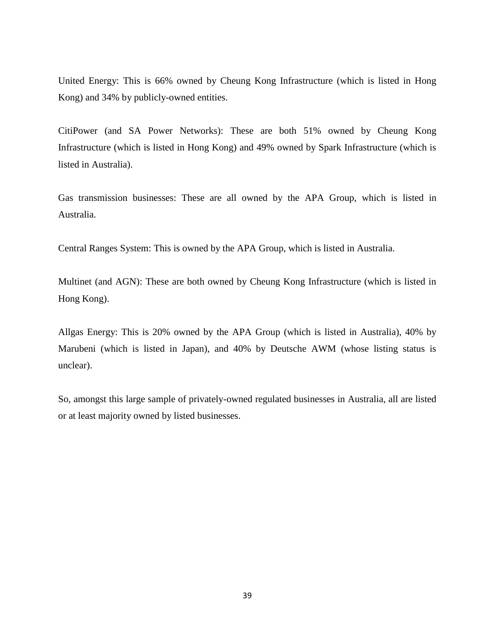United Energy: This is 66% owned by Cheung Kong Infrastructure (which is listed in Hong Kong) and 34% by publicly-owned entities.

CitiPower (and SA Power Networks): These are both 51% owned by Cheung Kong Infrastructure (which is listed in Hong Kong) and 49% owned by Spark Infrastructure (which is listed in Australia).

Gas transmission businesses: These are all owned by the APA Group, which is listed in Australia.

Central Ranges System: This is owned by the APA Group, which is listed in Australia.

Multinet (and AGN): These are both owned by Cheung Kong Infrastructure (which is listed in Hong Kong).

Allgas Energy: This is 20% owned by the APA Group (which is listed in Australia), 40% by Marubeni (which is listed in Japan), and 40% by Deutsche AWM (whose listing status is unclear).

So, amongst this large sample of privately-owned regulated businesses in Australia, all are listed or at least majority owned by listed businesses.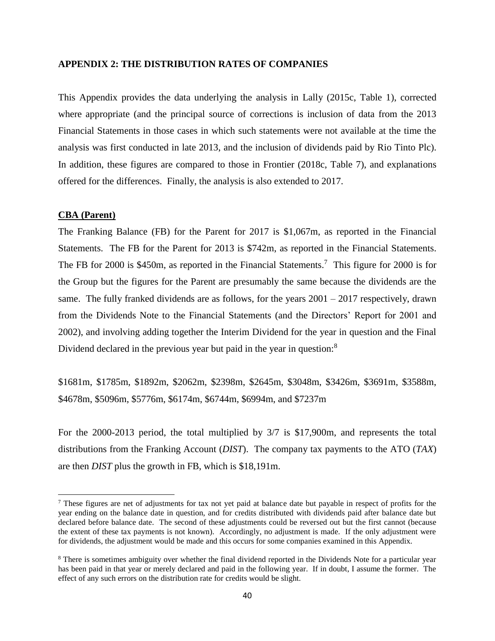#### **APPENDIX 2: THE DISTRIBUTION RATES OF COMPANIES**

This Appendix provides the data underlying the analysis in Lally (2015c, Table 1), corrected where appropriate (and the principal source of corrections is inclusion of data from the 2013 Financial Statements in those cases in which such statements were not available at the time the analysis was first conducted in late 2013, and the inclusion of dividends paid by Rio Tinto Plc). In addition, these figures are compared to those in Frontier (2018c, Table 7), and explanations offered for the differences. Finally, the analysis is also extended to 2017.

## **CBA (Parent)**

 $\overline{\phantom{a}}$ 

The Franking Balance (FB) for the Parent for 2017 is \$1,067m, as reported in the Financial Statements. The FB for the Parent for 2013 is \$742m, as reported in the Financial Statements. The FB for 2000 is \$450m, as reported in the Financial Statements.<sup>7</sup> This figure for 2000 is for the Group but the figures for the Parent are presumably the same because the dividends are the same. The fully franked dividends are as follows, for the years  $2001 - 2017$  respectively, drawn from the Dividends Note to the Financial Statements (and the Directors' Report for 2001 and 2002), and involving adding together the Interim Dividend for the year in question and the Final Dividend declared in the previous year but paid in the year in question:<sup>8</sup>

\$1681m, \$1785m, \$1892m, \$2062m, \$2398m, \$2645m, \$3048m, \$3426m, \$3691m, \$3588m, \$4678m, \$5096m, \$5776m, \$6174m, \$6744m, \$6994m, and \$7237m

For the 2000-2013 period, the total multiplied by 3/7 is \$17,900m, and represents the total distributions from the Franking Account (*DIST*). The company tax payments to the ATO (*TAX*) are then *DIST* plus the growth in FB, which is \$18,191m.

<sup>7</sup> These figures are net of adjustments for tax not yet paid at balance date but payable in respect of profits for the year ending on the balance date in question, and for credits distributed with dividends paid after balance date but declared before balance date. The second of these adjustments could be reversed out but the first cannot (because the extent of these tax payments is not known). Accordingly, no adjustment is made. If the only adjustment were for dividends, the adjustment would be made and this occurs for some companies examined in this Appendix.

<sup>&</sup>lt;sup>8</sup> There is sometimes ambiguity over whether the final dividend reported in the Dividends Note for a particular year has been paid in that year or merely declared and paid in the following year. If in doubt, I assume the former. The effect of any such errors on the distribution rate for credits would be slight.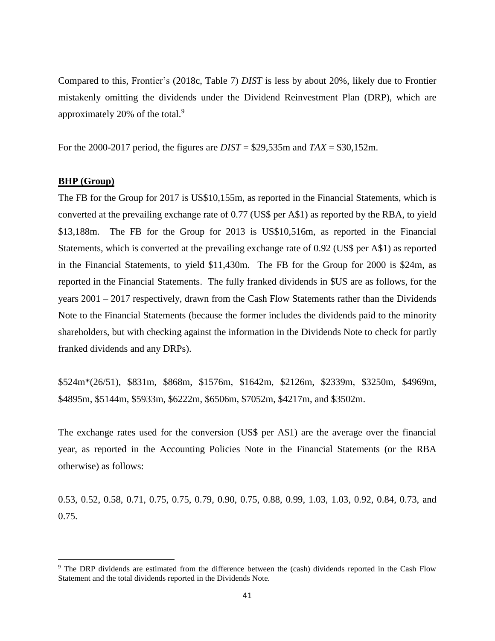Compared to this, Frontier's (2018c, Table 7) *DIST* is less by about 20%, likely due to Frontier mistakenly omitting the dividends under the Dividend Reinvestment Plan (DRP), which are approximately 20% of the total.<sup>9</sup>

For the 2000-2017 period, the figures are *DIST* = \$29,535m and *TAX* = \$30,152m.

#### **BHP (Group)**

 $\overline{a}$ 

The FB for the Group for 2017 is US\$10,155m, as reported in the Financial Statements, which is converted at the prevailing exchange rate of 0.77 (US\$ per A\$1) as reported by the RBA, to yield \$13,188m. The FB for the Group for 2013 is US\$10,516m, as reported in the Financial Statements, which is converted at the prevailing exchange rate of 0.92 (US\$ per A\$1) as reported in the Financial Statements, to yield \$11,430m. The FB for the Group for 2000 is \$24m, as reported in the Financial Statements. The fully franked dividends in \$US are as follows, for the years 2001 – 2017 respectively, drawn from the Cash Flow Statements rather than the Dividends Note to the Financial Statements (because the former includes the dividends paid to the minority shareholders, but with checking against the information in the Dividends Note to check for partly franked dividends and any DRPs).

\$524m\*(26/51), \$831m, \$868m, \$1576m, \$1642m, \$2126m, \$2339m, \$3250m, \$4969m, \$4895m, \$5144m, \$5933m, \$6222m, \$6506m, \$7052m, \$4217m, and \$3502m.

The exchange rates used for the conversion (US\$ per A\$1) are the average over the financial year, as reported in the Accounting Policies Note in the Financial Statements (or the RBA otherwise) as follows:

0.53, 0.52, 0.58, 0.71, 0.75, 0.75, 0.79, 0.90, 0.75, 0.88, 0.99, 1.03, 1.03, 0.92, 0.84, 0.73, and 0.75.

<sup>9</sup> The DRP dividends are estimated from the difference between the (cash) dividends reported in the Cash Flow Statement and the total dividends reported in the Dividends Note.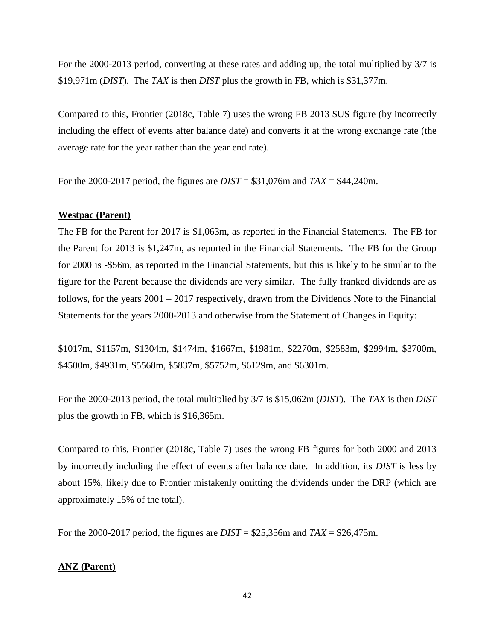For the 2000-2013 period, converting at these rates and adding up, the total multiplied by 3/7 is \$19,971m (*DIST*). The *TAX* is then *DIST* plus the growth in FB, which is \$31,377m.

Compared to this, Frontier (2018c, Table 7) uses the wrong FB 2013 \$US figure (by incorrectly including the effect of events after balance date) and converts it at the wrong exchange rate (the average rate for the year rather than the year end rate).

For the 2000-2017 period, the figures are *DIST* = \$31,076m and *TAX* = \$44,240m.

## **Westpac (Parent)**

The FB for the Parent for 2017 is \$1,063m, as reported in the Financial Statements. The FB for the Parent for 2013 is \$1,247m, as reported in the Financial Statements. The FB for the Group for 2000 is -\$56m, as reported in the Financial Statements, but this is likely to be similar to the figure for the Parent because the dividends are very similar. The fully franked dividends are as follows, for the years 2001 – 2017 respectively, drawn from the Dividends Note to the Financial Statements for the years 2000-2013 and otherwise from the Statement of Changes in Equity:

\$1017m, \$1157m, \$1304m, \$1474m, \$1667m, \$1981m, \$2270m, \$2583m, \$2994m, \$3700m, \$4500m, \$4931m, \$5568m, \$5837m, \$5752m, \$6129m, and \$6301m.

For the 2000-2013 period, the total multiplied by 3/7 is \$15,062m (*DIST*). The *TAX* is then *DIST* plus the growth in FB, which is \$16,365m.

Compared to this, Frontier (2018c, Table 7) uses the wrong FB figures for both 2000 and 2013 by incorrectly including the effect of events after balance date. In addition, its *DIST* is less by about 15%, likely due to Frontier mistakenly omitting the dividends under the DRP (which are approximately 15% of the total).

For the 2000-2017 period, the figures are *DIST* = \$25,356m and *TAX* = \$26,475m.

## **ANZ (Parent)**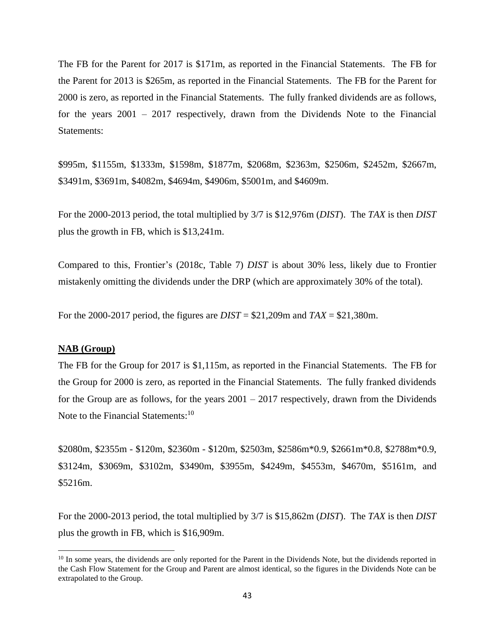The FB for the Parent for 2017 is \$171m, as reported in the Financial Statements. The FB for the Parent for 2013 is \$265m, as reported in the Financial Statements. The FB for the Parent for 2000 is zero, as reported in the Financial Statements. The fully franked dividends are as follows, for the years 2001 – 2017 respectively, drawn from the Dividends Note to the Financial Statements:

\$995m, \$1155m, \$1333m, \$1598m, \$1877m, \$2068m, \$2363m, \$2506m, \$2452m, \$2667m, \$3491m, \$3691m, \$4082m, \$4694m, \$4906m, \$5001m, and \$4609m.

For the 2000-2013 period, the total multiplied by 3/7 is \$12,976m (*DIST*). The *TAX* is then *DIST* plus the growth in FB, which is \$13,241m.

Compared to this, Frontier's (2018c, Table 7) *DIST* is about 30% less, likely due to Frontier mistakenly omitting the dividends under the DRP (which are approximately 30% of the total).

For the 2000-2017 period, the figures are *DIST* = \$21,209m and *TAX* = \$21,380m.

#### **NAB (Group)**

 $\overline{\phantom{a}}$ 

The FB for the Group for 2017 is \$1,115m, as reported in the Financial Statements. The FB for the Group for 2000 is zero, as reported in the Financial Statements. The fully franked dividends for the Group are as follows, for the years  $2001 - 2017$  respectively, drawn from the Dividends Note to the Financial Statements:<sup>10</sup>

\$2080m, \$2355m - \$120m, \$2360m - \$120m, \$2503m, \$2586m\*0.9, \$2661m\*0.8, \$2788m\*0.9, \$3124m, \$3069m, \$3102m, \$3490m, \$3955m, \$4249m, \$4553m, \$4670m, \$5161m, and \$5216m.

For the 2000-2013 period, the total multiplied by 3/7 is \$15,862m (*DIST*). The *TAX* is then *DIST* plus the growth in FB, which is \$16,909m.

<sup>&</sup>lt;sup>10</sup> In some years, the dividends are only reported for the Parent in the Dividends Note, but the dividends reported in the Cash Flow Statement for the Group and Parent are almost identical, so the figures in the Dividends Note can be extrapolated to the Group.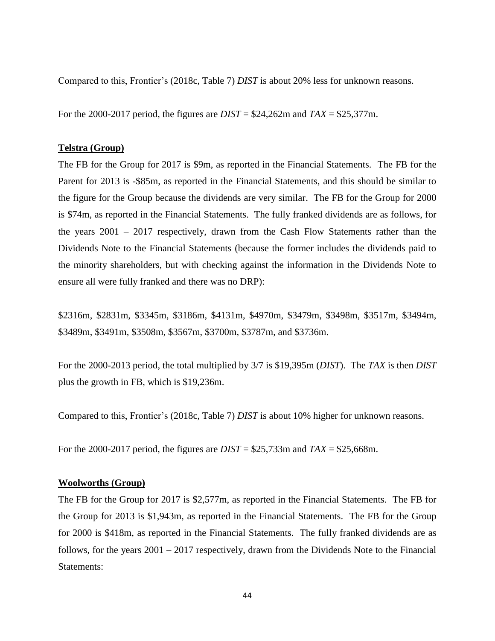Compared to this, Frontier's (2018c, Table 7) *DIST* is about 20% less for unknown reasons.

For the 2000-2017 period, the figures are *DIST* = \$24,262m and *TAX* = \$25,377m.

#### **Telstra (Group)**

The FB for the Group for 2017 is \$9m, as reported in the Financial Statements. The FB for the Parent for 2013 is -\$85m, as reported in the Financial Statements, and this should be similar to the figure for the Group because the dividends are very similar. The FB for the Group for 2000 is \$74m, as reported in the Financial Statements. The fully franked dividends are as follows, for the years 2001 – 2017 respectively, drawn from the Cash Flow Statements rather than the Dividends Note to the Financial Statements (because the former includes the dividends paid to the minority shareholders, but with checking against the information in the Dividends Note to ensure all were fully franked and there was no DRP):

\$2316m, \$2831m, \$3345m, \$3186m, \$4131m, \$4970m, \$3479m, \$3498m, \$3517m, \$3494m, \$3489m, \$3491m, \$3508m, \$3567m, \$3700m, \$3787m, and \$3736m.

For the 2000-2013 period, the total multiplied by 3/7 is \$19,395m (*DIST*). The *TAX* is then *DIST* plus the growth in FB, which is \$19,236m.

Compared to this, Frontier's (2018c, Table 7) *DIST* is about 10% higher for unknown reasons.

For the 2000-2017 period, the figures are *DIST* = \$25,733m and *TAX* = \$25,668m.

#### **Woolworths (Group)**

The FB for the Group for 2017 is \$2,577m, as reported in the Financial Statements. The FB for the Group for 2013 is \$1,943m, as reported in the Financial Statements. The FB for the Group for 2000 is \$418m, as reported in the Financial Statements. The fully franked dividends are as follows, for the years 2001 – 2017 respectively, drawn from the Dividends Note to the Financial Statements: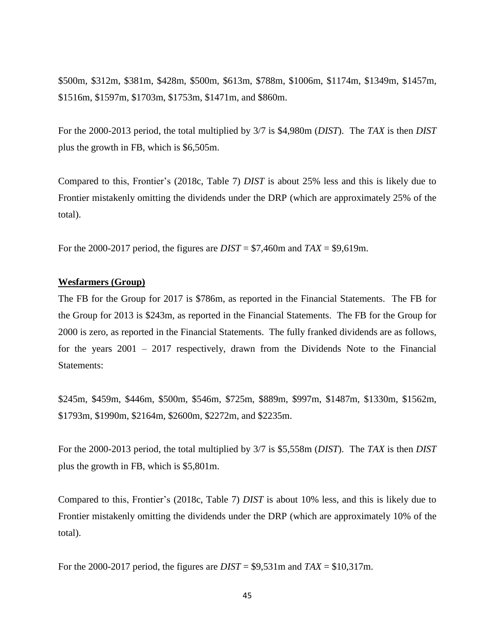\$500m, \$312m, \$381m, \$428m, \$500m, \$613m, \$788m, \$1006m, \$1174m, \$1349m, \$1457m, \$1516m, \$1597m, \$1703m, \$1753m, \$1471m, and \$860m.

For the 2000-2013 period, the total multiplied by 3/7 is \$4,980m (*DIST*). The *TAX* is then *DIST* plus the growth in FB, which is \$6,505m.

Compared to this, Frontier's (2018c, Table 7) *DIST* is about 25% less and this is likely due to Frontier mistakenly omitting the dividends under the DRP (which are approximately 25% of the total).

For the 2000-2017 period, the figures are *DIST* = \$7,460m and *TAX* = \$9,619m.

#### **Wesfarmers (Group)**

The FB for the Group for 2017 is \$786m, as reported in the Financial Statements. The FB for the Group for 2013 is \$243m, as reported in the Financial Statements. The FB for the Group for 2000 is zero, as reported in the Financial Statements. The fully franked dividends are as follows, for the years 2001 – 2017 respectively, drawn from the Dividends Note to the Financial Statements:

\$245m, \$459m, \$446m, \$500m, \$546m, \$725m, \$889m, \$997m, \$1487m, \$1330m, \$1562m, \$1793m, \$1990m, \$2164m, \$2600m, \$2272m, and \$2235m.

For the 2000-2013 period, the total multiplied by 3/7 is \$5,558m (*DIST*). The *TAX* is then *DIST* plus the growth in FB, which is \$5,801m.

Compared to this, Frontier's (2018c, Table 7) *DIST* is about 10% less, and this is likely due to Frontier mistakenly omitting the dividends under the DRP (which are approximately 10% of the total).

For the 2000-2017 period, the figures are *DIST* = \$9,531m and *TAX* = \$10,317m.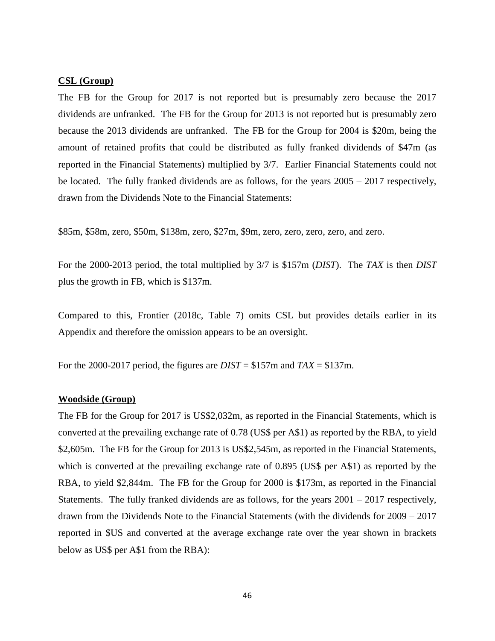#### **CSL (Group)**

The FB for the Group for 2017 is not reported but is presumably zero because the 2017 dividends are unfranked. The FB for the Group for 2013 is not reported but is presumably zero because the 2013 dividends are unfranked. The FB for the Group for 2004 is \$20m, being the amount of retained profits that could be distributed as fully franked dividends of \$47m (as reported in the Financial Statements) multiplied by 3/7. Earlier Financial Statements could not be located. The fully franked dividends are as follows, for the years 2005 – 2017 respectively, drawn from the Dividends Note to the Financial Statements:

\$85m, \$58m, zero, \$50m, \$138m, zero, \$27m, \$9m, zero, zero, zero, zero, and zero.

For the 2000-2013 period, the total multiplied by 3/7 is \$157m (*DIST*). The *TAX* is then *DIST* plus the growth in FB, which is \$137m.

Compared to this, Frontier (2018c, Table 7) omits CSL but provides details earlier in its Appendix and therefore the omission appears to be an oversight.

For the 2000-2017 period, the figures are  $DIST = $157m$  and  $TAX = $137m$ .

#### **Woodside (Group)**

The FB for the Group for 2017 is US\$2,032m, as reported in the Financial Statements, which is converted at the prevailing exchange rate of 0.78 (US\$ per A\$1) as reported by the RBA, to yield \$2,605m. The FB for the Group for 2013 is US\$2,545m, as reported in the Financial Statements, which is converted at the prevailing exchange rate of 0.895 (US\$ per A\$1) as reported by the RBA, to yield \$2,844m. The FB for the Group for 2000 is \$173m, as reported in the Financial Statements. The fully franked dividends are as follows, for the years  $2001 - 2017$  respectively, drawn from the Dividends Note to the Financial Statements (with the dividends for 2009 – 2017 reported in \$US and converted at the average exchange rate over the year shown in brackets below as US\$ per A\$1 from the RBA):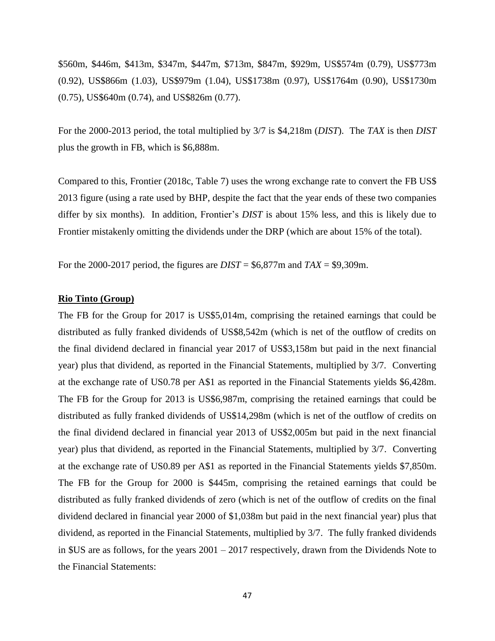\$560m, \$446m, \$413m, \$347m, \$447m, \$713m, \$847m, \$929m, US\$574m (0.79), US\$773m (0.92), US\$866m (1.03), US\$979m (1.04), US\$1738m (0.97), US\$1764m (0.90), US\$1730m (0.75), US\$640m (0.74), and US\$826m (0.77).

For the 2000-2013 period, the total multiplied by 3/7 is \$4,218m (*DIST*). The *TAX* is then *DIST* plus the growth in FB, which is \$6,888m.

Compared to this, Frontier (2018c, Table 7) uses the wrong exchange rate to convert the FB US\$ 2013 figure (using a rate used by BHP, despite the fact that the year ends of these two companies differ by six months). In addition, Frontier's *DIST* is about 15% less, and this is likely due to Frontier mistakenly omitting the dividends under the DRP (which are about 15% of the total).

For the 2000-2017 period, the figures are *DIST* = \$6,877m and *TAX* = \$9,309m.

#### **Rio Tinto (Group)**

The FB for the Group for 2017 is US\$5,014m, comprising the retained earnings that could be distributed as fully franked dividends of US\$8,542m (which is net of the outflow of credits on the final dividend declared in financial year 2017 of US\$3,158m but paid in the next financial year) plus that dividend, as reported in the Financial Statements, multiplied by 3/7. Converting at the exchange rate of US0.78 per A\$1 as reported in the Financial Statements yields \$6,428m. The FB for the Group for 2013 is US\$6,987m, comprising the retained earnings that could be distributed as fully franked dividends of US\$14,298m (which is net of the outflow of credits on the final dividend declared in financial year 2013 of US\$2,005m but paid in the next financial year) plus that dividend, as reported in the Financial Statements, multiplied by 3/7. Converting at the exchange rate of US0.89 per A\$1 as reported in the Financial Statements yields \$7,850m. The FB for the Group for 2000 is \$445m, comprising the retained earnings that could be distributed as fully franked dividends of zero (which is net of the outflow of credits on the final dividend declared in financial year 2000 of \$1,038m but paid in the next financial year) plus that dividend, as reported in the Financial Statements, multiplied by 3/7. The fully franked dividends in \$US are as follows, for the years 2001 – 2017 respectively, drawn from the Dividends Note to the Financial Statements: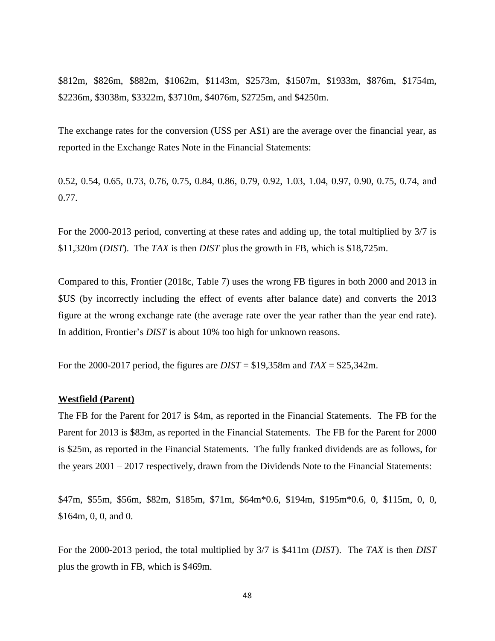\$812m, \$826m, \$882m, \$1062m, \$1143m, \$2573m, \$1507m, \$1933m, \$876m, \$1754m, \$2236m, \$3038m, \$3322m, \$3710m, \$4076m, \$2725m, and \$4250m.

The exchange rates for the conversion (US\$ per A\$1) are the average over the financial year, as reported in the Exchange Rates Note in the Financial Statements:

0.52, 0.54, 0.65, 0.73, 0.76, 0.75, 0.84, 0.86, 0.79, 0.92, 1.03, 1.04, 0.97, 0.90, 0.75, 0.74, and 0.77.

For the 2000-2013 period, converting at these rates and adding up, the total multiplied by 3/7 is \$11,320m (*DIST*). The *TAX* is then *DIST* plus the growth in FB, which is \$18,725m.

Compared to this, Frontier (2018c, Table 7) uses the wrong FB figures in both 2000 and 2013 in \$US (by incorrectly including the effect of events after balance date) and converts the 2013 figure at the wrong exchange rate (the average rate over the year rather than the year end rate). In addition, Frontier's *DIST* is about 10% too high for unknown reasons.

For the 2000-2017 period, the figures are *DIST* = \$19,358m and *TAX* = \$25,342m.

#### **Westfield (Parent)**

The FB for the Parent for 2017 is \$4m, as reported in the Financial Statements. The FB for the Parent for 2013 is \$83m, as reported in the Financial Statements. The FB for the Parent for 2000 is \$25m, as reported in the Financial Statements. The fully franked dividends are as follows, for the years 2001 – 2017 respectively, drawn from the Dividends Note to the Financial Statements:

\$47m, \$55m, \$56m, \$82m, \$185m, \$71m, \$64m\*0.6, \$194m, \$195m\*0.6, 0, \$115m, 0, 0, \$164m, 0, 0, and 0.

For the 2000-2013 period, the total multiplied by 3/7 is \$411m (*DIST*). The *TAX* is then *DIST* plus the growth in FB, which is \$469m.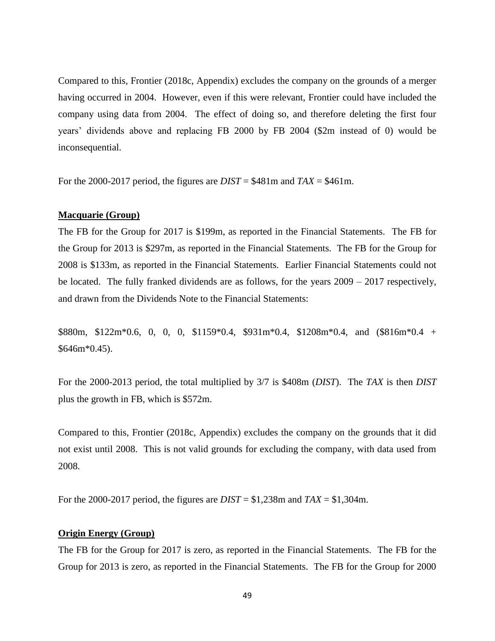Compared to this, Frontier (2018c, Appendix) excludes the company on the grounds of a merger having occurred in 2004. However, even if this were relevant, Frontier could have included the company using data from 2004. The effect of doing so, and therefore deleting the first four years' dividends above and replacing FB 2000 by FB 2004 (\$2m instead of 0) would be inconsequential.

For the 2000-2017 period, the figures are *DIST* = \$481m and *TAX* = \$461m.

#### **Macquarie (Group)**

The FB for the Group for 2017 is \$199m, as reported in the Financial Statements. The FB for the Group for 2013 is \$297m, as reported in the Financial Statements. The FB for the Group for 2008 is \$133m, as reported in the Financial Statements. Earlier Financial Statements could not be located. The fully franked dividends are as follows, for the years  $2009 - 2017$  respectively, and drawn from the Dividends Note to the Financial Statements:

\$880m, \$122m\*0.6, 0, 0, 0, \$1159\*0.4, \$931m\*0.4, \$1208m\*0.4, and  $$816m*0.4 +$  $$646m*0.45$ ).

For the 2000-2013 period, the total multiplied by 3/7 is \$408m (*DIST*). The *TAX* is then *DIST* plus the growth in FB, which is \$572m.

Compared to this, Frontier (2018c, Appendix) excludes the company on the grounds that it did not exist until 2008. This is not valid grounds for excluding the company, with data used from 2008.

For the 2000-2017 period, the figures are *DIST* = \$1,238m and *TAX* = \$1,304m.

#### **Origin Energy (Group)**

The FB for the Group for 2017 is zero, as reported in the Financial Statements. The FB for the Group for 2013 is zero, as reported in the Financial Statements. The FB for the Group for 2000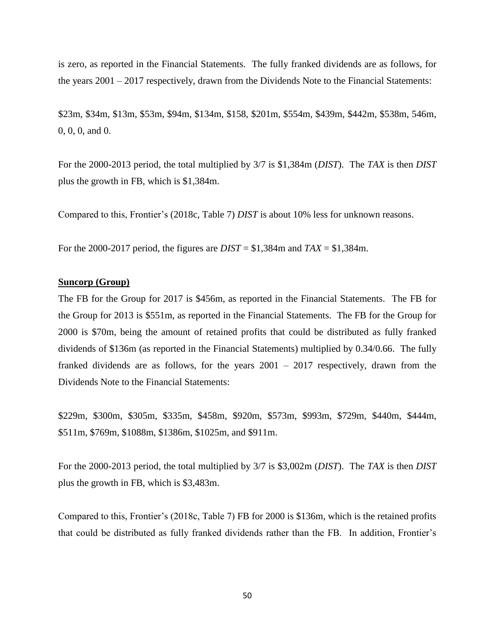is zero, as reported in the Financial Statements. The fully franked dividends are as follows, for the years 2001 – 2017 respectively, drawn from the Dividends Note to the Financial Statements:

\$23m, \$34m, \$13m, \$53m, \$94m, \$134m, \$158, \$201m, \$554m, \$439m, \$442m, \$538m, 546m, 0, 0, 0, and 0.

For the 2000-2013 period, the total multiplied by 3/7 is \$1,384m (*DIST*). The *TAX* is then *DIST* plus the growth in FB, which is \$1,384m.

Compared to this, Frontier's (2018c, Table 7) *DIST* is about 10% less for unknown reasons.

For the 2000-2017 period, the figures are *DIST* = \$1,384m and *TAX* = \$1,384m.

## **Suncorp (Group)**

The FB for the Group for 2017 is \$456m, as reported in the Financial Statements. The FB for the Group for 2013 is \$551m, as reported in the Financial Statements. The FB for the Group for 2000 is \$70m, being the amount of retained profits that could be distributed as fully franked dividends of \$136m (as reported in the Financial Statements) multiplied by 0.34/0.66. The fully franked dividends are as follows, for the years 2001 – 2017 respectively, drawn from the Dividends Note to the Financial Statements:

\$229m, \$300m, \$305m, \$335m, \$458m, \$920m, \$573m, \$993m, \$729m, \$440m, \$444m, \$511m, \$769m, \$1088m, \$1386m, \$1025m, and \$911m.

For the 2000-2013 period, the total multiplied by 3/7 is \$3,002m (*DIST*). The *TAX* is then *DIST* plus the growth in FB, which is \$3,483m.

Compared to this, Frontier's (2018c, Table 7) FB for 2000 is \$136m, which is the retained profits that could be distributed as fully franked dividends rather than the FB. In addition, Frontier's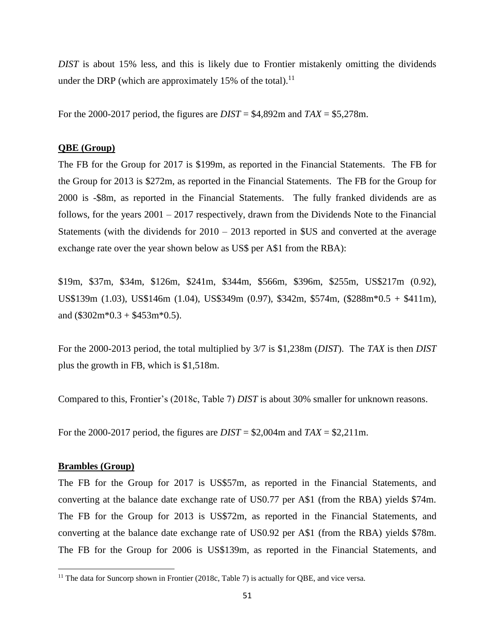*DIST* is about 15% less, and this is likely due to Frontier mistakenly omitting the dividends under the DRP (which are approximately 15% of the total).<sup>11</sup>

For the 2000-2017 period, the figures are *DIST* = \$4,892m and *TAX* = \$5,278m.

## **QBE (Group)**

The FB for the Group for 2017 is \$199m, as reported in the Financial Statements. The FB for the Group for 2013 is \$272m, as reported in the Financial Statements. The FB for the Group for 2000 is -\$8m, as reported in the Financial Statements. The fully franked dividends are as follows, for the years 2001 – 2017 respectively, drawn from the Dividends Note to the Financial Statements (with the dividends for 2010 – 2013 reported in \$US and converted at the average exchange rate over the year shown below as US\$ per A\$1 from the RBA):

\$19m, \$37m, \$34m, \$126m, \$241m, \$344m, \$566m, \$396m, \$255m, US\$217m (0.92), US\$139m (1.03), US\$146m (1.04), US\$349m (0.97), \$342m, \$574m, (\$288m\*0.5 + \$411m), and  $(\$302m*0.3 + \$453m*0.5)$ .

For the 2000-2013 period, the total multiplied by 3/7 is \$1,238m (*DIST*). The *TAX* is then *DIST* plus the growth in FB, which is \$1,518m.

Compared to this, Frontier's (2018c, Table 7) *DIST* is about 30% smaller for unknown reasons.

For the 2000-2017 period, the figures are  $DIST = $2,004$ m and  $TAX = $2,211$ m.

#### **Brambles (Group)**

 $\overline{\phantom{a}}$ 

The FB for the Group for 2017 is US\$57m, as reported in the Financial Statements, and converting at the balance date exchange rate of US0.77 per A\$1 (from the RBA) yields \$74m. The FB for the Group for 2013 is US\$72m, as reported in the Financial Statements, and converting at the balance date exchange rate of US0.92 per A\$1 (from the RBA) yields \$78m. The FB for the Group for 2006 is US\$139m, as reported in the Financial Statements, and

<sup>&</sup>lt;sup>11</sup> The data for Suncorp shown in Frontier (2018c, Table 7) is actually for QBE, and vice versa.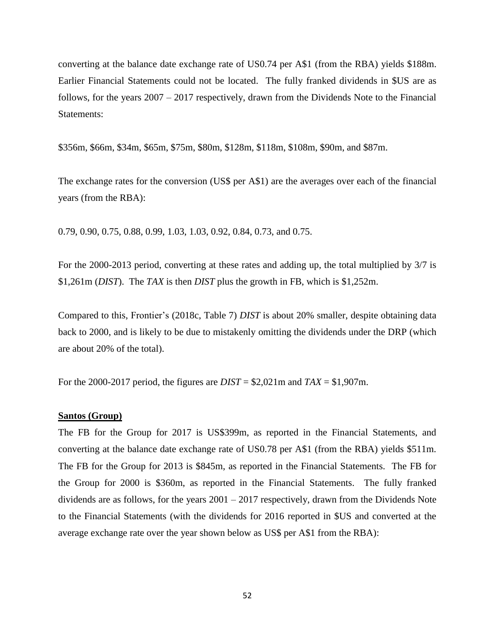converting at the balance date exchange rate of US0.74 per A\$1 (from the RBA) yields \$188m. Earlier Financial Statements could not be located. The fully franked dividends in \$US are as follows, for the years 2007 – 2017 respectively, drawn from the Dividends Note to the Financial Statements:

\$356m, \$66m, \$34m, \$65m, \$75m, \$80m, \$128m, \$118m, \$108m, \$90m, and \$87m.

The exchange rates for the conversion (US\$ per A\$1) are the averages over each of the financial years (from the RBA):

0.79, 0.90, 0.75, 0.88, 0.99, 1.03, 1.03, 0.92, 0.84, 0.73, and 0.75.

For the 2000-2013 period, converting at these rates and adding up, the total multiplied by 3/7 is \$1,261m (*DIST*). The *TAX* is then *DIST* plus the growth in FB, which is \$1,252m.

Compared to this, Frontier's (2018c, Table 7) *DIST* is about 20% smaller, despite obtaining data back to 2000, and is likely to be due to mistakenly omitting the dividends under the DRP (which are about 20% of the total).

For the 2000-2017 period, the figures are *DIST* = \$2,021m and *TAX* = \$1,907m.

## **Santos (Group)**

The FB for the Group for 2017 is US\$399m, as reported in the Financial Statements, and converting at the balance date exchange rate of US0.78 per A\$1 (from the RBA) yields \$511m. The FB for the Group for 2013 is \$845m, as reported in the Financial Statements. The FB for the Group for 2000 is \$360m, as reported in the Financial Statements. The fully franked dividends are as follows, for the years 2001 – 2017 respectively, drawn from the Dividends Note to the Financial Statements (with the dividends for 2016 reported in \$US and converted at the average exchange rate over the year shown below as US\$ per A\$1 from the RBA):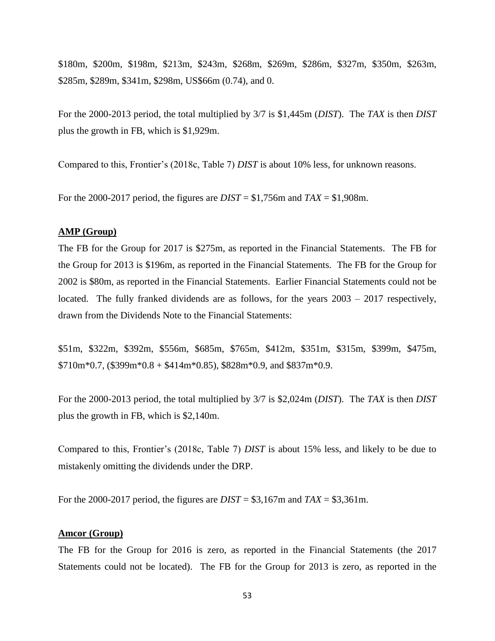\$180m, \$200m, \$198m, \$213m, \$243m, \$268m, \$269m, \$286m, \$327m, \$350m, \$263m, \$285m, \$289m, \$341m, \$298m, US\$66m (0.74), and 0.

For the 2000-2013 period, the total multiplied by 3/7 is \$1,445m (*DIST*). The *TAX* is then *DIST* plus the growth in FB, which is \$1,929m.

Compared to this, Frontier's (2018c, Table 7) *DIST* is about 10% less, for unknown reasons.

For the 2000-2017 period, the figures are *DIST* = \$1,756m and *TAX* = \$1,908m.

## **AMP (Group)**

The FB for the Group for 2017 is \$275m, as reported in the Financial Statements. The FB for the Group for 2013 is \$196m, as reported in the Financial Statements. The FB for the Group for 2002 is \$80m, as reported in the Financial Statements. Earlier Financial Statements could not be located. The fully franked dividends are as follows, for the years 2003 – 2017 respectively, drawn from the Dividends Note to the Financial Statements:

\$51m, \$322m, \$392m, \$556m, \$685m, \$765m, \$412m, \$351m, \$315m, \$399m, \$475m,  $$710m*0.7$ ,  $$399m*0.8 + $414m*0.85$ ,  $$828m*0.9$ , and  $$837m*0.9$ .

For the 2000-2013 period, the total multiplied by 3/7 is \$2,024m (*DIST*). The *TAX* is then *DIST* plus the growth in FB, which is \$2,140m.

Compared to this, Frontier's (2018c, Table 7) *DIST* is about 15% less, and likely to be due to mistakenly omitting the dividends under the DRP.

For the 2000-2017 period, the figures are  $DIST = $3,167$ m and  $TAX = $3,361$ m.

## **Amcor (Group)**

The FB for the Group for 2016 is zero, as reported in the Financial Statements (the 2017 Statements could not be located). The FB for the Group for 2013 is zero, as reported in the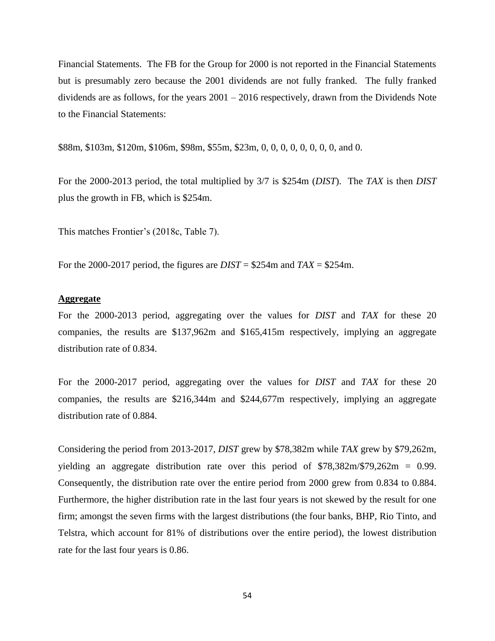Financial Statements. The FB for the Group for 2000 is not reported in the Financial Statements but is presumably zero because the 2001 dividends are not fully franked. The fully franked dividends are as follows, for the years 2001 – 2016 respectively, drawn from the Dividends Note to the Financial Statements:

\$88m, \$103m, \$120m, \$106m, \$98m, \$55m, \$23m, 0, 0, 0, 0, 0, 0, 0, 0, and 0.

For the 2000-2013 period, the total multiplied by 3/7 is \$254m (*DIST*). The *TAX* is then *DIST* plus the growth in FB, which is \$254m.

This matches Frontier's (2018c, Table 7).

For the 2000-2017 period, the figures are *DIST* = \$254m and *TAX* = \$254m.

## **Aggregate**

For the 2000-2013 period, aggregating over the values for *DIST* and *TAX* for these 20 companies, the results are \$137,962m and \$165,415m respectively, implying an aggregate distribution rate of 0.834.

For the 2000-2017 period, aggregating over the values for *DIST* and *TAX* for these 20 companies, the results are \$216,344m and \$244,677m respectively, implying an aggregate distribution rate of 0.884.

Considering the period from 2013-2017, *DIST* grew by \$78,382m while *TAX* grew by \$79,262m, yielding an aggregate distribution rate over this period of \$78,382m/\$79,262m = 0.99. Consequently, the distribution rate over the entire period from 2000 grew from 0.834 to 0.884. Furthermore, the higher distribution rate in the last four years is not skewed by the result for one firm; amongst the seven firms with the largest distributions (the four banks, BHP, Rio Tinto, and Telstra, which account for 81% of distributions over the entire period), the lowest distribution rate for the last four years is 0.86.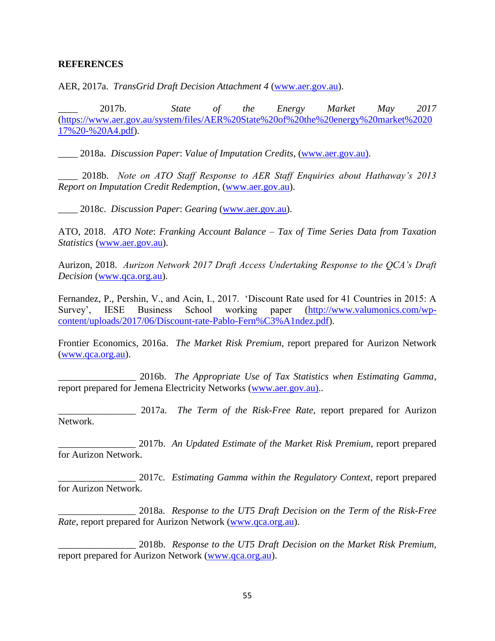#### **REFERENCES**

AER, 2017a. *TransGrid Draft Decision Attachment 4* [\(www.aer.gov.au\)](http://www.aer.gov.au/).

\_\_\_\_ 2017b. *State of the Energy Market May 2017*  [\(https://www.aer.gov.au/system/files/AER%20State%20of%20the%20energy%20market%2020](https://www.aer.gov.au/system/files/AER%20State%20of%20the%20energy%20market%202017%20-%20A4.pdf) [17%20-%20A4.pdf\)](https://www.aer.gov.au/system/files/AER%20State%20of%20the%20energy%20market%202017%20-%20A4.pdf).

\_\_\_\_ 2018a. *Discussion Paper*: *Value of Imputation Credits*, [\(www.aer.gov.au\)](http://www.aer.gov.au/).

\_\_\_\_ 2018b. *Note on ATO Staff Response to AER Staff Enquiries about Hathaway's 2013 Report on Imputation Credit Redemption*, [\(www.aer.gov.au\)](http://www.aer.gov.au/).

\_\_\_\_ 2018c. *Discussion Paper*: *Gearing* [\(www.aer.gov.au\)](http://www.aer.gov.au/).

ATO, 2018. *ATO Note*: *Franking Account Balance – Tax of Time Series Data from Taxation Statistics* [\(www.aer.gov.au\)](http://www.aer.gov.au/).

Aurizon, 2018. *Aurizon Network 2017 Draft Access Undertaking Response to the QCA's Draft Decision* [\(www.qca.org.au\)](http://www.qca.org.au/).

Fernandez, P., Pershin, V., and Acin, I., 2017. 'Discount Rate used for 41 Countries in 2015: A Survey', IESE Business School working paper [\(http://www.valumonics.com/wp](http://www.valumonics.com/wp-content/uploads/2017/06/Discount-rate-Pablo-Fern%C3%A1ndez.pdf)[content/uploads/2017/06/Discount-rate-Pablo-Fern%C3%A1ndez.pdf\)](http://www.valumonics.com/wp-content/uploads/2017/06/Discount-rate-Pablo-Fern%C3%A1ndez.pdf).

Frontier Economics, 2016a. *The Market Risk Premium*, report prepared for Aurizon Network [\(www.qca.org.au\)](http://www.qca.org.au/).

\_\_\_\_\_\_\_\_\_\_\_\_\_\_\_\_ 2016b. *The Appropriate Use of Tax Statistics when Estimating Gamma*, report prepared for Jemena Electricity Networks [\(www.aer.gov.au\).](http://www.aer.gov.au)/).

\_\_\_\_\_\_\_\_\_\_\_\_\_\_\_\_ 2017a. *The Term of the Risk-Free Rate*, report prepared for Aurizon Network.

\_\_\_\_\_\_\_\_\_\_\_\_\_\_\_\_ 2017b. *An Updated Estimate of the Market Risk Premium*, report prepared for Aurizon Network.

\_\_\_\_\_\_\_\_\_\_\_\_\_\_\_\_ 2017c. *Estimating Gamma within the Regulatory Context*, report prepared for Aurizon Network.

\_\_\_\_\_\_\_\_\_\_\_\_\_\_\_\_ 2018a. *Response to the UT5 Draft Decision on the Term of the Risk-Free Rate*, report prepared for Aurizon Network [\(www.qca.org.au\)](http://www.qca.org.au/).

\_\_\_\_\_\_\_\_\_\_\_\_\_\_\_\_ 2018b. *Response to the UT5 Draft Decision on the Market Risk Premium*, report prepared for Aurizon Network [\(www.qca.org.au\)](http://www.qca.org.au/).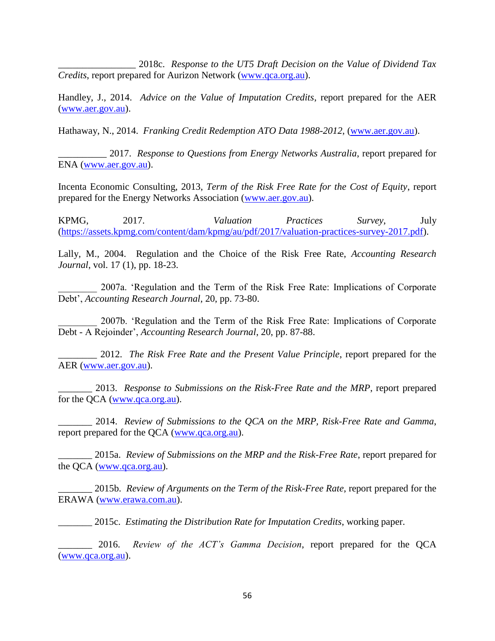\_\_\_\_\_\_\_\_\_\_\_\_\_\_\_\_ 2018c. *Response to the UT5 Draft Decision on the Value of Dividend Tax Credits*, report prepared for Aurizon Network [\(www.qca.org.au\)](http://www.qca.org.au/).

Handley, J., 2014. *Advice on the Value of Imputation Credits*, report prepared for the AER [\(www.aer.gov.au\)](http://www.aer.gov.au/).

Hathaway, N., 2014. *Franking Credit Redemption ATO Data 1988-2012*, [\(www.aer.gov.au\)](http://www.aer.gov.au/).

\_\_\_\_\_\_\_\_\_\_ 2017. *Response to Questions from Energy Networks Australia*, report prepared for ENA [\(www.aer.gov.au\)](http://www.aer.gov.au/).

Incenta Economic Consulting, 2013, *Term of the Risk Free Rate for the Cost of Equity*, report prepared for the Energy Networks Association [\(www.aer.gov.au\)](http://www.aer.gov.au/).

KPMG, 2017. *Valuation Practices Survey*, July [\(https://assets.kpmg.com/content/dam/kpmg/au/pdf/2017/valuation-practices-survey-2017.pdf\)](https://assets.kpmg.com/content/dam/kpmg/au/pdf/2017/valuation-practices-survey-2017.pdf).

Lally, M., 2004. Regulation and the Choice of the Risk Free Rate, *Accounting Research Journal*, vol. 17 (1), pp. 18-23.

\_\_\_\_\_\_\_\_ 2007a. 'Regulation and the Term of the Risk Free Rate: Implications of Corporate Debt', *Accounting Research Journal*, 20, pp. 73-80.

\_\_\_\_\_\_\_\_ 2007b. 'Regulation and the Term of the Risk Free Rate: Implications of Corporate Debt - A Rejoinder', *Accounting Research Journal*, 20, pp. 87-88.

\_\_\_\_\_\_\_\_ 2012. *The Risk Free Rate and the Present Value Principle*, report prepared for the AER [\(www.aer.gov.au\)](http://www.aer.gov.au/).

\_\_\_\_\_\_\_ 2013. *Response to Submissions on the Risk-Free Rate and the MRP*, report prepared for the QCA [\(www.qca.org.au\)](http://www.qca.org.au/).

\_\_\_\_\_\_\_ 2014. *Review of Submissions to the QCA on the MRP, Risk-Free Rate and Gamma*, report prepared for the QCA [\(www.qca.org.au\)](http://www.qca.org.au/).

\_\_\_\_\_\_\_ 2015a. *Review of Submissions on the MRP and the Risk-Free Rate*, report prepared for the QCA [\(www.qca.org.au\)](http://www.qca.org.au/).

\_\_\_\_\_\_\_ 2015b. *Review of Arguments on the Term of the Risk-Free Rate*, report prepared for the ERAWA [\(www.erawa.com.au\)](http://www.erawa.com.au/).

\_\_\_\_\_\_\_ 2015c. *Estimating the Distribution Rate for Imputation Credits*, working paper.

\_\_\_\_\_\_\_ 2016. *Review of the ACT's Gamma Decision*, report prepared for the QCA [\(www.qca.org.au\)](http://www.qca.org.au/).